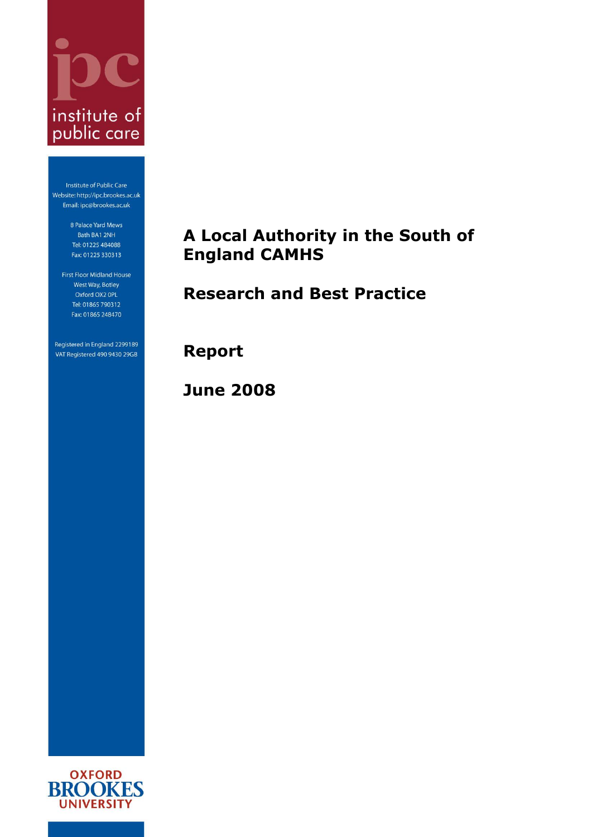

Institute of Public Care Website: http://ipc.brookes.ac.uk Email: ipc@brookes.ac.uk

> 8 Palace Yard Mews Bath BA1 2NH Tel: 01225 484088 Fax: 01225 330313

First Floor Midland House West Way, Botley Oxford OX2 OPL Tel: 01865 790312 Fax: 01865 248470

Registered in England 2299189 VAT Registered 490 9430 29GB

# <span id="page-0-0"></span>**A Local Authority in the South of England CAMHS**

# <span id="page-0-1"></span>**Research and Best Practice**

**Report**

**June 2008**

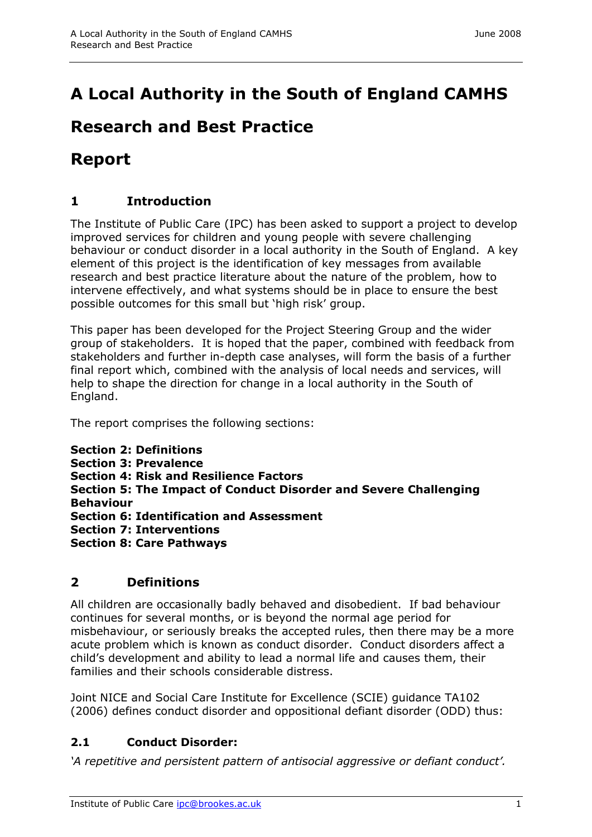# **[Research and Best Practice](#page-0-1)**

# **Report**

# **1 Introduction**

The Institute of Public Care (IPC) has been asked to support a project to develop improved services for children and young people with severe challenging behaviour or conduct disorder in a local authority in the South of England. A key element of this project is the identification of key messages from available research and best practice literature about the nature of the problem, how to intervene effectively, and what systems should be in place to ensure the best possible outcomes for this small but 'high risk' group.

This paper has been developed for the Project Steering Group and the wider group of stakeholders. It is hoped that the paper, combined with feedback from stakeholders and further in-depth case analyses, will form the basis of a further final report which, combined with the analysis of local needs and services, will help to shape the direction for change in a local authority in the South of England.

The report comprises the following sections:

```
Section 2: Definitions
Section 3: Prevalence
Section 4: Risk and Resilience Factors
Section 5: The Impact of Conduct Disorder and Severe Challenging 
Behaviour
Section 6: Identification and Assessment
Section 7: Interventions
Section 8: Care Pathways
```
# **2 Definitions**

All children are occasionally badly behaved and disobedient. If bad behaviour continues for several months, or is beyond the normal age period for misbehaviour, or seriously breaks the accepted rules, then there may be a more acute problem which is known as conduct disorder. Conduct disorders affect a child's development and ability to lead a normal life and causes them, their families and their schools considerable distress.

Joint NICE and Social Care Institute for Excellence (SCIE) guidance TA102 (2006) defines conduct disorder and oppositional defiant disorder (ODD) thus:

# **2.1 Conduct Disorder:**

*"A repetitive and persistent pattern of antisocial aggressive or defiant conduct".*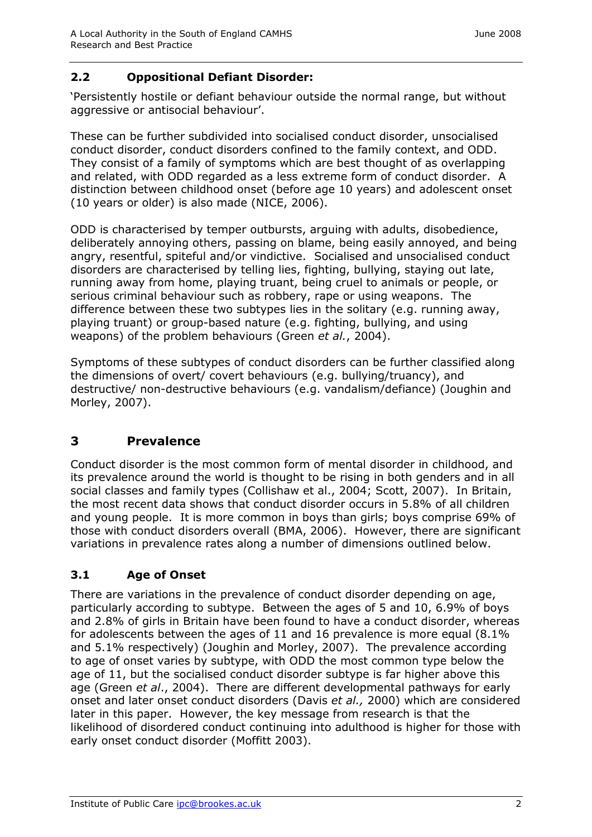#### **2.2 Oppositional Defiant Disorder:**

'Persistently hostile or defiant behaviour outside the normal range, but without aggressive or antisocial behaviour'.

These can be further subdivided into socialised conduct disorder, unsocialised conduct disorder, conduct disorders confined to the family context, and ODD. They consist of a family of symptoms which are best thought of as overlapping and related, with ODD regarded as a less extreme form of conduct disorder. A distinction between childhood onset (before age 10 years) and adolescent onset (10 years or older) is also made (NICE, 2006).

ODD is characterised by temper outbursts, arguing with adults, disobedience, deliberately annoying others, passing on blame, being easily annoyed, and being angry, resentful, spiteful and/or vindictive. Socialised and unsocialised conduct disorders are characterised by telling lies, fighting, bullying, staying out late, running away from home, playing truant, being cruel to animals or people, or serious criminal behaviour such as robbery, rape or using weapons. The difference between these two subtypes lies in the solitary (e.g. running away, playing truant) or group-based nature (e.g. fighting, bullying, and using weapons) of the problem behaviours (Green *et al.*, 2004).

Symptoms of these subtypes of conduct disorders can be further classified along the dimensions of overt/ covert behaviours (e.g. bullying/truancy), and destructive/ non-destructive behaviours (e.g. vandalism/defiance) (Joughin and Morley, 2007).

# **3 Prevalence**

Conduct disorder is the most common form of mental disorder in childhood, and its prevalence around the world is thought to be rising in both genders and in all social classes and family types (Collishaw et al., 2004; Scott, 2007). In Britain, the most recent data shows that conduct disorder occurs in 5.8% of all children and young people. It is more common in boys than girls; boys comprise 69% of those with conduct disorders overall (BMA, 2006). However, there are significant variations in prevalence rates along a number of dimensions outlined below.

## **3.1 Age of Onset**

There are variations in the prevalence of conduct disorder depending on age, particularly according to subtype. Between the ages of 5 and 10, 6.9% of boys and 2.8% of girls in Britain have been found to have a conduct disorder, whereas for adolescents between the ages of 11 and 16 prevalence is more equal (8.1% and 5.1% respectively) (Joughin and Morley, 2007). The prevalence according to age of onset varies by subtype, with ODD the most common type below the age of 11, but the socialised conduct disorder subtype is far higher above this age (Green *et al*., 2004). There are different developmental pathways for early onset and later onset conduct disorders (Davis *et al.,* 2000) which are considered later in this paper. However, the key message from research is that the likelihood of disordered conduct continuing into adulthood is higher for those with early onset conduct disorder (Moffitt 2003).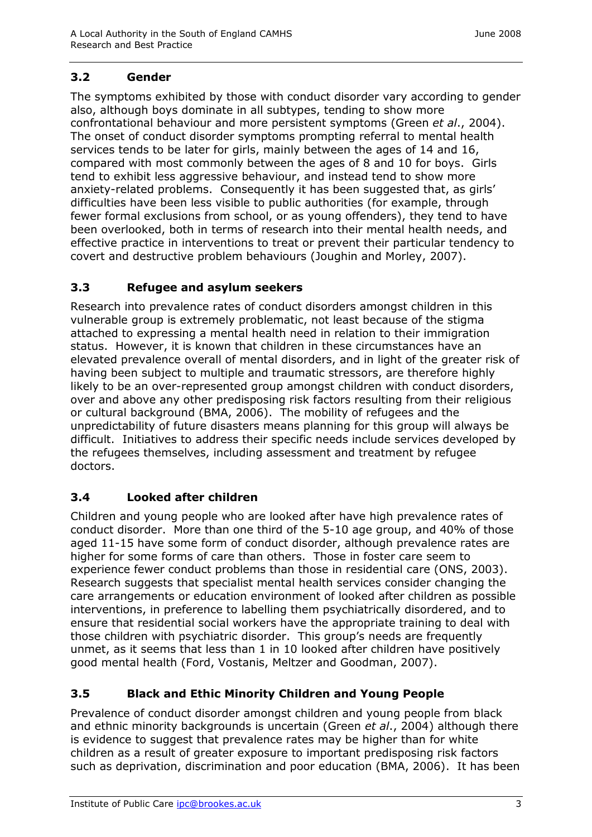#### **3.2 Gender**

The symptoms exhibited by those with conduct disorder vary according to gender also, although boys dominate in all subtypes, tending to show more confrontational behaviour and more persistent symptoms (Green *et al*., 2004). The onset of conduct disorder symptoms prompting referral to mental health services tends to be later for girls, mainly between the ages of 14 and 16, compared with most commonly between the ages of 8 and 10 for boys. Girls tend to exhibit less aggressive behaviour, and instead tend to show more anxiety-related problems. Consequently it has been suggested that, as girls' difficulties have been less visible to public authorities (for example, through fewer formal exclusions from school, or as young offenders), they tend to have been overlooked, both in terms of research into their mental health needs, and effective practice in interventions to treat or prevent their particular tendency to covert and destructive problem behaviours (Joughin and Morley, 2007).

#### **3.3 Refugee and asylum seekers**

Research into prevalence rates of conduct disorders amongst children in this vulnerable group is extremely problematic, not least because of the stigma attached to expressing a mental health need in relation to their immigration status. However, it is known that children in these circumstances have an elevated prevalence overall of mental disorders, and in light of the greater risk of having been subject to multiple and traumatic stressors, are therefore highly likely to be an over-represented group amongst children with conduct disorders, over and above any other predisposing risk factors resulting from their religious or cultural background (BMA, 2006). The mobility of refugees and the unpredictability of future disasters means planning for this group will always be difficult. Initiatives to address their specific needs include services developed by the refugees themselves, including assessment and treatment by refugee doctors.

#### **3.4 Looked after children**

Children and young people who are looked after have high prevalence rates of conduct disorder. More than one third of the 5-10 age group, and 40% of those aged 11-15 have some form of conduct disorder, although prevalence rates are higher for some forms of care than others. Those in foster care seem to experience fewer conduct problems than those in residential care (ONS, 2003). Research suggests that specialist mental health services consider changing the care arrangements or education environment of looked after children as possible interventions, in preference to labelling them psychiatrically disordered, and to ensure that residential social workers have the appropriate training to deal with those children with psychiatric disorder. This group's needs are frequently unmet, as it seems that less than 1 in 10 looked after children have positively good mental health (Ford, Vostanis, Meltzer and Goodman, 2007).

## **3.5 Black and Ethic Minority Children and Young People**

Prevalence of conduct disorder amongst children and young people from black and ethnic minority backgrounds is uncertain (Green *et al*., 2004) although there is evidence to suggest that prevalence rates may be higher than for white children as a result of greater exposure to important predisposing risk factors such as deprivation, discrimination and poor education (BMA, 2006). It has been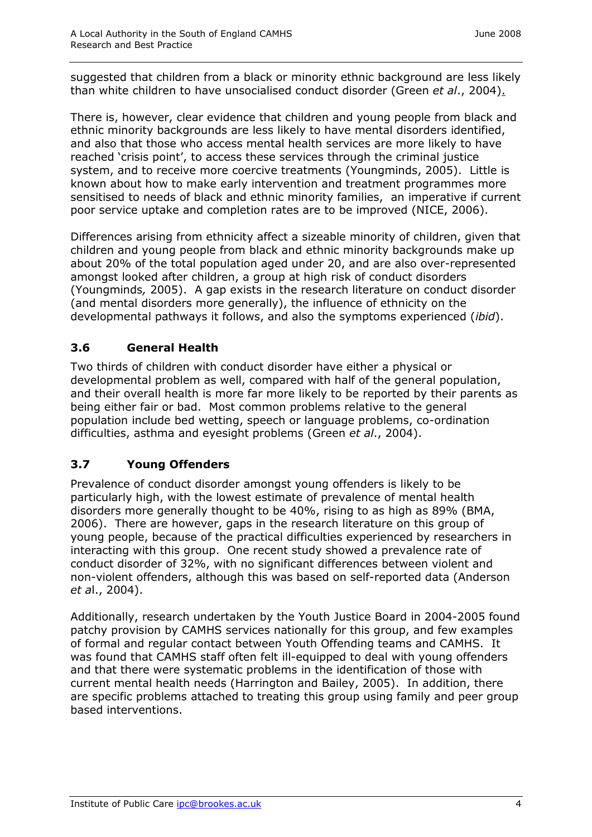suggested that children from a black or minority ethnic background are less likely than white children to have unsocialised conduct disorder (Green *et al*., 2004).

There is, however, clear evidence that children and young people from black and ethnic minority backgrounds are less likely to have mental disorders identified, and also that those who access mental health services are more likely to have reached 'crisis point', to access these services through the criminal justice system, and to receive more coercive treatments (Youngminds, 2005). Little is known about how to make early intervention and treatment programmes more sensitised to needs of black and ethnic minority families, an imperative if current poor service uptake and completion rates are to be improved (NICE, 2006).

Differences arising from ethnicity affect a sizeable minority of children, given that children and young people from black and ethnic minority backgrounds make up about 20% of the total population aged under 20, and are also over-represented amongst looked after children, a group at high risk of conduct disorders (Youngminds*,* 2005). A gap exists in the research literature on conduct disorder (and mental disorders more generally), the influence of ethnicity on the developmental pathways it follows, and also the symptoms experienced (*ibid*).

## **3.6 General Health**

Two thirds of children with conduct disorder have either a physical or developmental problem as well, compared with half of the general population, and their overall health is more far more likely to be reported by their parents as being either fair or bad. Most common problems relative to the general population include bed wetting, speech or language problems, co-ordination difficulties, asthma and eyesight problems (Green *et al*., 2004).

## **3.7 Young Offenders**

Prevalence of conduct disorder amongst young offenders is likely to be particularly high, with the lowest estimate of prevalence of mental health disorders more generally thought to be 40%, rising to as high as 89% (BMA, 2006). There are however, gaps in the research literature on this group of young people, because of the practical difficulties experienced by researchers in interacting with this group. One recent study showed a prevalence rate of conduct disorder of 32%, with no significant differences between violent and non-violent offenders, although this was based on self-reported data (Anderson *et a*l., 2004).

Additionally, research undertaken by the Youth Justice Board in 2004-2005 found patchy provision by CAMHS services nationally for this group, and few examples of formal and regular contact between Youth Offending teams and CAMHS. It was found that CAMHS staff often felt ill-equipped to deal with young offenders and that there were systematic problems in the identification of those with current mental health needs (Harrington and Bailey, 2005). In addition, there are specific problems attached to treating this group using family and peer group based interventions.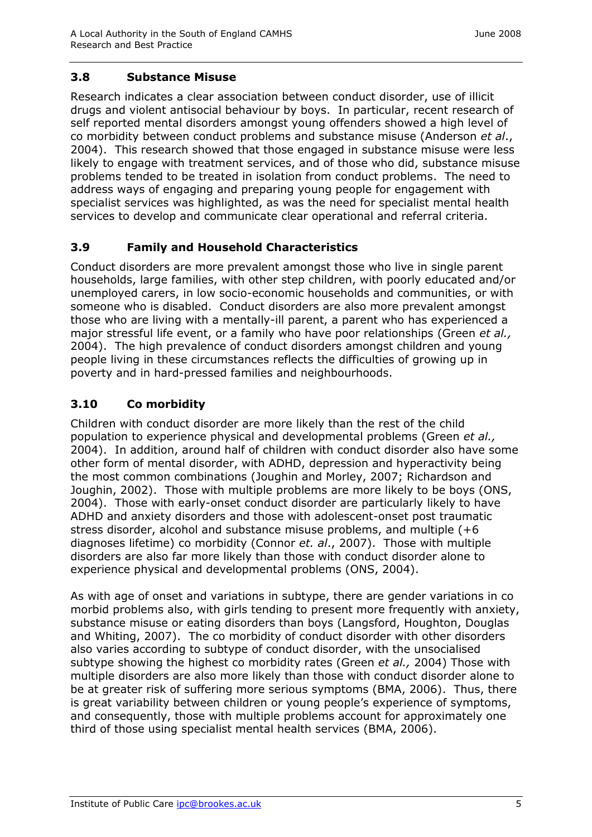## **3.8 Substance Misuse**

Research indicates a clear association between conduct disorder, use of illicit drugs and violent antisocial behaviour by boys. In particular, recent research of self reported mental disorders amongst young offenders showed a high level of co morbidity between conduct problems and substance misuse (Anderson *et al*., 2004). This research showed that those engaged in substance misuse were less likely to engage with treatment services, and of those who did, substance misuse problems tended to be treated in isolation from conduct problems. The need to address ways of engaging and preparing young people for engagement with specialist services was highlighted, as was the need for specialist mental health services to develop and communicate clear operational and referral criteria.

## **3.9 Family and Household Characteristics**

Conduct disorders are more prevalent amongst those who live in single parent households, large families, with other step children, with poorly educated and/or unemployed carers, in low socio-economic households and communities, or with someone who is disabled. Conduct disorders are also more prevalent amongst those who are living with a mentally-ill parent, a parent who has experienced a major stressful life event, or a family who have poor relationships (Green *et al.,* 2004). The high prevalence of conduct disorders amongst children and young people living in these circumstances reflects the difficulties of growing up in poverty and in hard-pressed families and neighbourhoods.

## **3.10 Co morbidity**

Children with conduct disorder are more likely than the rest of the child population to experience physical and developmental problems (Green *et al.,* 2004). In addition, around half of children with conduct disorder also have some other form of mental disorder, with ADHD, depression and hyperactivity being the most common combinations (Joughin and Morley, 2007; Richardson and Joughin, 2002). Those with multiple problems are more likely to be boys (ONS, 2004). Those with early-onset conduct disorder are particularly likely to have ADHD and anxiety disorders and those with adolescent-onset post traumatic stress disorder, alcohol and substance misuse problems, and multiple (+6 diagnoses lifetime) co morbidity (Connor *et. al*., 2007). Those with multiple disorders are also far more likely than those with conduct disorder alone to experience physical and developmental problems (ONS, 2004).

As with age of onset and variations in subtype, there are gender variations in co morbid problems also, with girls tending to present more frequently with anxiety, substance misuse or eating disorders than boys (Langsford, Houghton, Douglas and Whiting, 2007). The co morbidity of conduct disorder with other disorders also varies according to subtype of conduct disorder, with the unsocialised subtype showing the highest co morbidity rates (Green *et al.,* 2004) Those with multiple disorders are also more likely than those with conduct disorder alone to be at greater risk of suffering more serious symptoms (BMA, 2006). Thus, there is great variability between children or young people's experience of symptoms, and consequently, those with multiple problems account for approximately one third of those using specialist mental health services (BMA, 2006).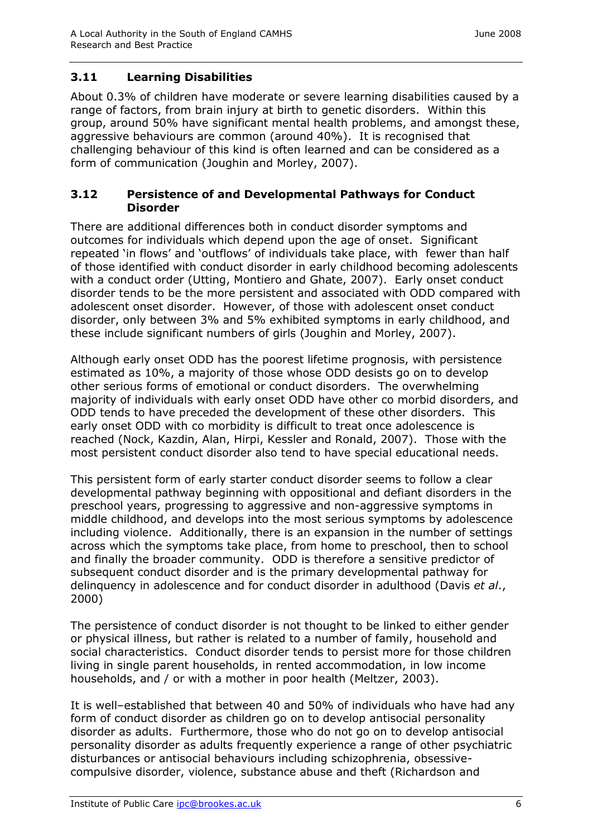## **3.11 Learning Disabilities**

About 0.3% of children have moderate or severe learning disabilities caused by a range of factors, from brain injury at birth to genetic disorders. Within this group, around 50% have significant mental health problems, and amongst these, aggressive behaviours are common (around 40%). It is recognised that challenging behaviour of this kind is often learned and can be considered as a form of communication (Joughin and Morley, 2007).

#### **3.12 Persistence of and Developmental Pathways for Conduct Disorder**

There are additional differences both in conduct disorder symptoms and outcomes for individuals which depend upon the age of onset. Significant repeated 'in flows' and 'outflows' of individuals take place, with fewer than half of those identified with conduct disorder in early childhood becoming adolescents with a conduct order (Utting, Montiero and Ghate, 2007). Early onset conduct disorder tends to be the more persistent and associated with ODD compared with adolescent onset disorder. However, of those with adolescent onset conduct disorder, only between 3% and 5% exhibited symptoms in early childhood, and these include significant numbers of girls (Joughin and Morley, 2007).

Although early onset ODD has the poorest lifetime prognosis, with persistence estimated as 10%, a majority of those whose ODD desists go on to develop other serious forms of emotional or conduct disorders. The overwhelming majority of individuals with early onset ODD have other co morbid disorders, and ODD tends to have preceded the development of these other disorders. This early onset ODD with co morbidity is difficult to treat once adolescence is reached (Nock, Kazdin, Alan, Hirpi, Kessler and Ronald, 2007). Those with the most persistent conduct disorder also tend to have special educational needs.

This persistent form of early starter conduct disorder seems to follow a clear developmental pathway beginning with oppositional and defiant disorders in the preschool years, progressing to aggressive and non-aggressive symptoms in middle childhood, and develops into the most serious symptoms by adolescence including violence. Additionally, there is an expansion in the number of settings across which the symptoms take place, from home to preschool, then to school and finally the broader community. ODD is therefore a sensitive predictor of subsequent conduct disorder and is the primary developmental pathway for delinquency in adolescence and for conduct disorder in adulthood (Davis *et al*., 2000)

The persistence of conduct disorder is not thought to be linked to either gender or physical illness, but rather is related to a number of family, household and social characteristics. Conduct disorder tends to persist more for those children living in single parent households, in rented accommodation, in low income households, and / or with a mother in poor health (Meltzer, 2003).

It is well–established that between 40 and 50% of individuals who have had any form of conduct disorder as children go on to develop antisocial personality disorder as adults. Furthermore, those who do not go on to develop antisocial personality disorder as adults frequently experience a range of other psychiatric disturbances or antisocial behaviours including schizophrenia, obsessivecompulsive disorder, violence, substance abuse and theft (Richardson and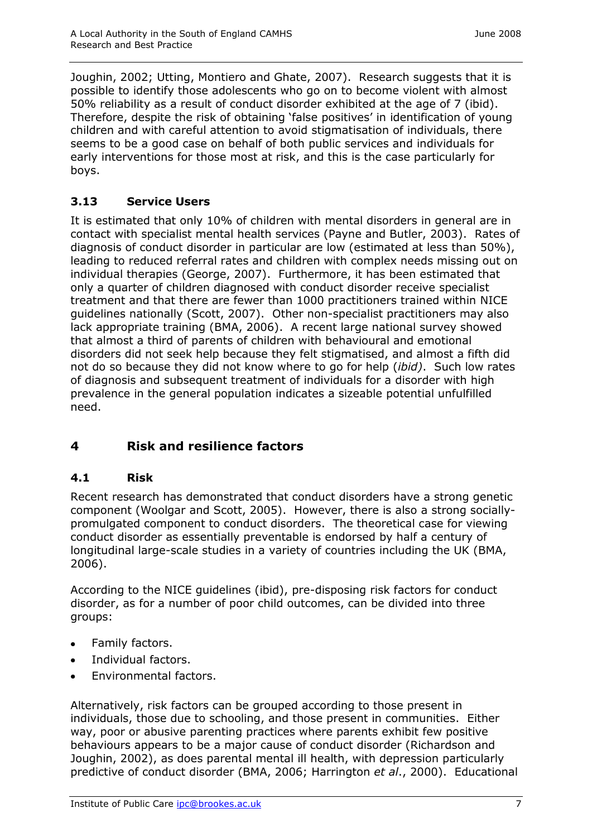Joughin, 2002; Utting, Montiero and Ghate, 2007). Research suggests that it is possible to identify those adolescents who go on to become violent with almost 50% reliability as a result of conduct disorder exhibited at the age of 7 (ibid). Therefore, despite the risk of obtaining 'false positives' in identification of young children and with careful attention to avoid stigmatisation of individuals, there seems to be a good case on behalf of both public services and individuals for early interventions for those most at risk, and this is the case particularly for boys.

## **3.13 Service Users**

It is estimated that only 10% of children with mental disorders in general are in contact with specialist mental health services (Payne and Butler, 2003). Rates of diagnosis of conduct disorder in particular are low (estimated at less than 50%), leading to reduced referral rates and children with complex needs missing out on individual therapies (George, 2007). Furthermore, it has been estimated that only a quarter of children diagnosed with conduct disorder receive specialist treatment and that there are fewer than 1000 practitioners trained within NICE guidelines nationally (Scott, 2007). Other non-specialist practitioners may also lack appropriate training (BMA, 2006). A recent large national survey showed that almost a third of parents of children with behavioural and emotional disorders did not seek help because they felt stigmatised, and almost a fifth did not do so because they did not know where to go for help (*ibid)*. Such low rates of diagnosis and subsequent treatment of individuals for a disorder with high prevalence in the general population indicates a sizeable potential unfulfilled need.

# **4 Risk and resilience factors**

#### **4.1 Risk**

Recent research has demonstrated that conduct disorders have a strong genetic component (Woolgar and Scott, 2005). However, there is also a strong sociallypromulgated component to conduct disorders. The theoretical case for viewing conduct disorder as essentially preventable is endorsed by half a century of longitudinal large-scale studies in a variety of countries including the UK (BMA, 2006).

According to the NICE guidelines (ibid), pre-disposing risk factors for conduct disorder, as for a number of poor child outcomes, can be divided into three groups:

- Family factors.  $\bullet$
- Individual factors.  $\bullet$
- Environmental factors.

Alternatively, risk factors can be grouped according to those present in individuals, those due to schooling, and those present in communities. Either way, poor or abusive parenting practices where parents exhibit few positive behaviours appears to be a major cause of conduct disorder (Richardson and Joughin, 2002), as does parental mental ill health, with depression particularly predictive of conduct disorder (BMA, 2006; Harrington *et al*., 2000). Educational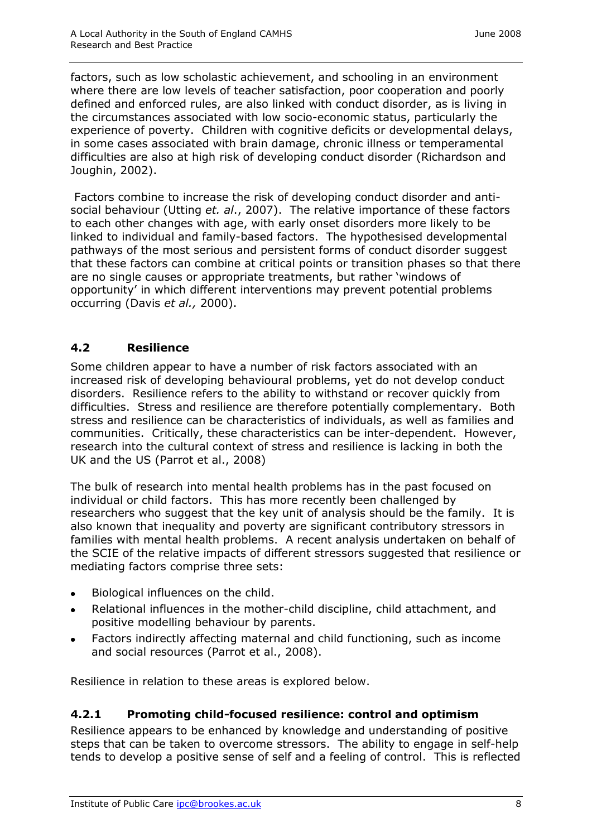factors, such as low scholastic achievement, and schooling in an environment where there are low levels of teacher satisfaction, poor cooperation and poorly defined and enforced rules, are also linked with conduct disorder, as is living in the circumstances associated with low socio-economic status, particularly the experience of poverty. Children with cognitive deficits or developmental delays, in some cases associated with brain damage, chronic illness or temperamental difficulties are also at high risk of developing conduct disorder (Richardson and Joughin, 2002).

Factors combine to increase the risk of developing conduct disorder and antisocial behaviour (Utting *et. al*., 2007). The relative importance of these factors to each other changes with age, with early onset disorders more likely to be linked to individual and family-based factors. The hypothesised developmental pathways of the most serious and persistent forms of conduct disorder suggest that these factors can combine at critical points or transition phases so that there are no single causes or appropriate treatments, but rather 'windows of opportunity' in which different interventions may prevent potential problems occurring (Davis *et al.,* 2000).

## **4.2 Resilience**

Some children appear to have a number of risk factors associated with an increased risk of developing behavioural problems, yet do not develop conduct disorders. Resilience refers to the ability to withstand or recover quickly from difficulties. Stress and resilience are therefore potentially complementary. Both stress and resilience can be characteristics of individuals, as well as families and communities. Critically, these characteristics can be inter-dependent. However, research into the cultural context of stress and resilience is lacking in both the UK and the US (Parrot et al., 2008)

The bulk of research into mental health problems has in the past focused on individual or child factors. This has more recently been challenged by researchers who suggest that the key unit of analysis should be the family. It is also known that inequality and poverty are significant contributory stressors in families with mental health problems. A recent analysis undertaken on behalf of the SCIE of the relative impacts of different stressors suggested that resilience or mediating factors comprise three sets:

- Biological influences on the child.  $\bullet$
- Relational influences in the mother-child discipline, child attachment, and  $\bullet$ positive modelling behaviour by parents.
- Factors indirectly affecting maternal and child functioning, such as income and social resources (Parrot et al., 2008).

Resilience in relation to these areas is explored below.

## **4.2.1 Promoting child-focused resilience: control and optimism**

Resilience appears to be enhanced by knowledge and understanding of positive steps that can be taken to overcome stressors. The ability to engage in self-help tends to develop a positive sense of self and a feeling of control. This is reflected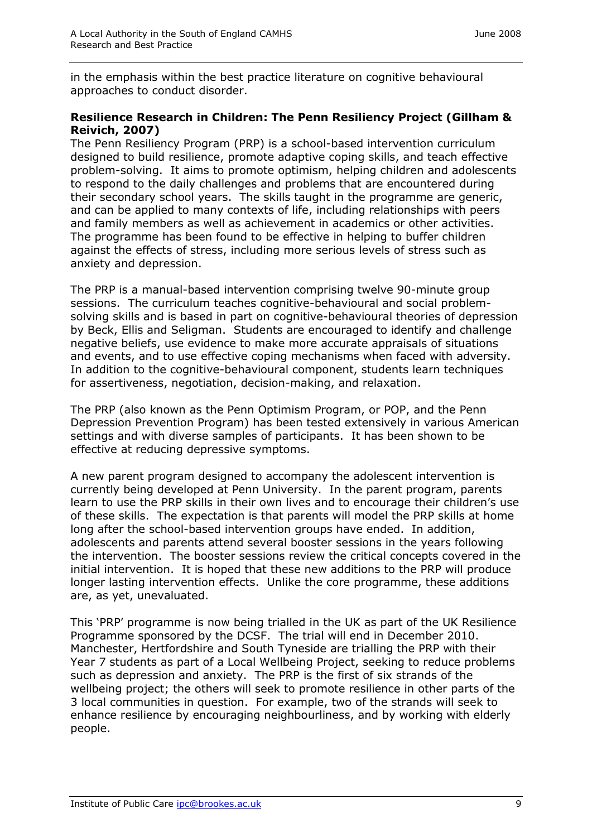in the emphasis within the best practice literature on cognitive behavioural approaches to conduct disorder.

#### **Resilience Research in Children: The Penn Resiliency Project (Gillham & Reivich, 2007)**

The Penn Resiliency Program (PRP) is a school-based intervention curriculum designed to build resilience, promote adaptive coping skills, and teach effective problem-solving. It aims to promote optimism, helping children and adolescents to respond to the daily challenges and problems that are encountered during their secondary school years. The skills taught in the programme are generic, and can be applied to many contexts of life, including relationships with peers and family members as well as achievement in academics or other activities. The programme has been found to be effective in helping to buffer children against the effects of stress, including more serious levels of stress such as anxiety and depression.

The PRP is a manual-based intervention comprising twelve 90-minute group sessions. The curriculum teaches cognitive-behavioural and social problemsolving skills and is based in part on cognitive-behavioural theories of depression by Beck, Ellis and Seligman. Students are encouraged to identify and challenge negative beliefs, use evidence to make more accurate appraisals of situations and events, and to use effective coping mechanisms when faced with adversity. In addition to the cognitive-behavioural component, students learn techniques for assertiveness, negotiation, decision-making, and relaxation.

The PRP (also known as the Penn Optimism Program, or POP, and the Penn Depression Prevention Program) has been tested extensively in various American settings and with diverse samples of participants. It has been shown to be effective at reducing depressive symptoms.

A new parent program designed to accompany the adolescent intervention is currently being developed at Penn University. In the parent program, parents learn to use the PRP skills in their own lives and to encourage their children's use of these skills. The expectation is that parents will model the PRP skills at home long after the school-based intervention groups have ended. In addition, adolescents and parents attend several booster sessions in the years following the intervention. The booster sessions review the critical concepts covered in the initial intervention. It is hoped that these new additions to the PRP will produce longer lasting intervention effects. Unlike the core programme, these additions are, as yet, unevaluated.

This 'PRP' programme is now being trialled in the UK as part of the UK Resilience Programme sponsored by the DCSF. The trial will end in December 2010. Manchester, Hertfordshire and South Tyneside are trialling the PRP with their Year 7 students as part of a Local Wellbeing Project, seeking to reduce problems such as depression and anxiety. The PRP is the first of six strands of the wellbeing project; the others will seek to promote resilience in other parts of the 3 local communities in question. For example, two of the strands will seek to enhance resilience by encouraging neighbourliness, and by working with elderly people.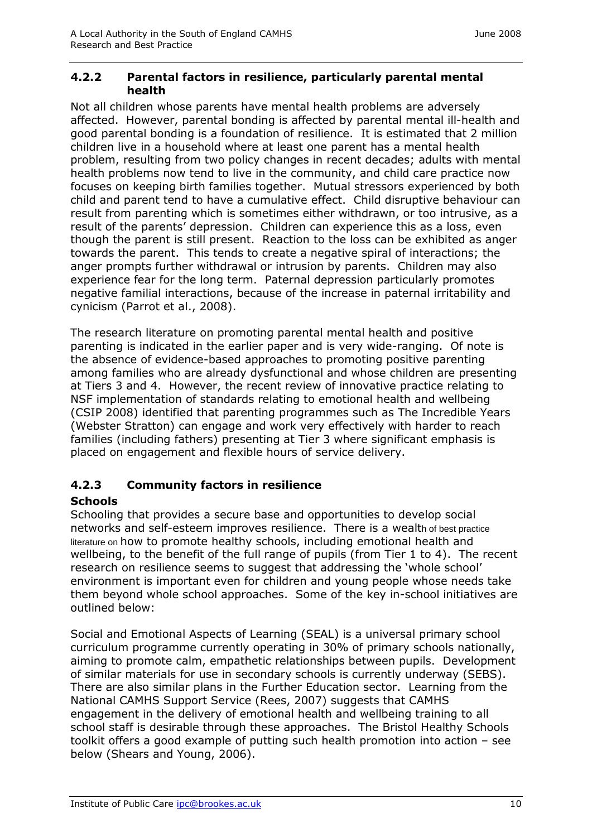#### **4.2.2 Parental factors in resilience, particularly parental mental health**

Not all children whose parents have mental health problems are adversely affected. However, parental bonding is affected by parental mental ill-health and good parental bonding is a foundation of resilience. It is estimated that 2 million children live in a household where at least one parent has a mental health problem, resulting from two policy changes in recent decades; adults with mental health problems now tend to live in the community, and child care practice now focuses on keeping birth families together. Mutual stressors experienced by both child and parent tend to have a cumulative effect. Child disruptive behaviour can result from parenting which is sometimes either withdrawn, or too intrusive, as a result of the parents' depression. Children can experience this as a loss, even though the parent is still present. Reaction to the loss can be exhibited as anger towards the parent. This tends to create a negative spiral of interactions; the anger prompts further withdrawal or intrusion by parents. Children may also experience fear for the long term. Paternal depression particularly promotes negative familial interactions, because of the increase in paternal irritability and cynicism (Parrot et al., 2008).

The research literature on promoting parental mental health and positive parenting is indicated in the earlier paper and is very wide-ranging. Of note is the absence of evidence-based approaches to promoting positive parenting among families who are already dysfunctional and whose children are presenting at Tiers 3 and 4. However, the recent review of innovative practice relating to NSF implementation of standards relating to emotional health and wellbeing (CSIP 2008) identified that parenting programmes such as The Incredible Years (Webster Stratton) can engage and work very effectively with harder to reach families (including fathers) presenting at Tier 3 where significant emphasis is placed on engagement and flexible hours of service delivery.

## **4.2.3 Community factors in resilience**

#### **Schools**

Schooling that provides a secure base and opportunities to develop social networks and self-esteem improves resilience. There is a wealth of best practice literature on how to promote healthy schools, including emotional health and wellbeing, to the benefit of the full range of pupils (from Tier 1 to 4). The recent research on resilience seems to suggest that addressing the 'whole school' environment is important even for children and young people whose needs take them beyond whole school approaches. Some of the key in-school initiatives are outlined below:

Social and Emotional Aspects of Learning (SEAL) is a universal primary school curriculum programme currently operating in 30% of primary schools nationally, aiming to promote calm, empathetic relationships between pupils. Development of similar materials for use in secondary schools is currently underway (SEBS). There are also similar plans in the Further Education sector. Learning from the National CAMHS Support Service (Rees, 2007) suggests that CAMHS engagement in the delivery of emotional health and wellbeing training to all school staff is desirable through these approaches. The Bristol Healthy Schools toolkit offers a good example of putting such health promotion into action – see below (Shears and Young, 2006).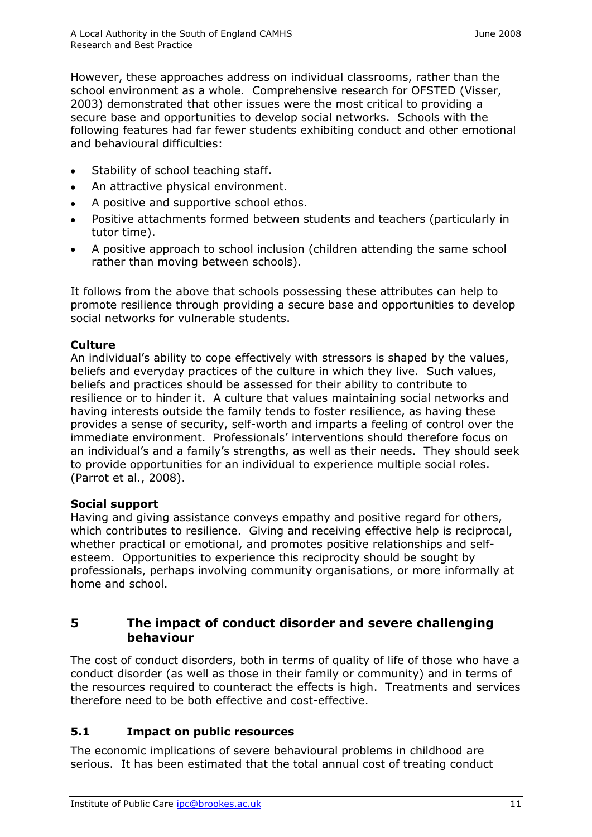However, these approaches address on individual classrooms, rather than the school environment as a whole. Comprehensive research for OFSTED (Visser, 2003) demonstrated that other issues were the most critical to providing a secure base and opportunities to develop social networks. Schools with the following features had far fewer students exhibiting conduct and other emotional and behavioural difficulties:

- Stability of school teaching staff.
- An attractive physical environment.  $\bullet$
- A positive and supportive school ethos.  $\bullet$
- Positive attachments formed between students and teachers (particularly in  $\bullet$ tutor time).
- A positive approach to school inclusion (children attending the same school rather than moving between schools).

It follows from the above that schools possessing these attributes can help to promote resilience through providing a secure base and opportunities to develop social networks for vulnerable students.

#### **Culture**

An individual's ability to cope effectively with stressors is shaped by the values, beliefs and everyday practices of the culture in which they live. Such values, beliefs and practices should be assessed for their ability to contribute to resilience or to hinder it. A culture that values maintaining social networks and having interests outside the family tends to foster resilience, as having these provides a sense of security, self-worth and imparts a feeling of control over the immediate environment. Professionals' interventions should therefore focus on an individual's and a family's strengths, as well as their needs. They should seek to provide opportunities for an individual to experience multiple social roles. (Parrot et al., 2008).

#### **Social support**

Having and giving assistance conveys empathy and positive regard for others, which contributes to resilience. Giving and receiving effective help is reciprocal, whether practical or emotional, and promotes positive relationships and selfesteem. Opportunities to experience this reciprocity should be sought by professionals, perhaps involving community organisations, or more informally at home and school.

#### **5 The impact of conduct disorder and severe challenging behaviour**

The cost of conduct disorders, both in terms of quality of life of those who have a conduct disorder (as well as those in their family or community) and in terms of the resources required to counteract the effects is high. Treatments and services therefore need to be both effective and cost-effective.

#### **5.1 Impact on public resources**

The economic implications of severe behavioural problems in childhood are serious. It has been estimated that the total annual cost of treating conduct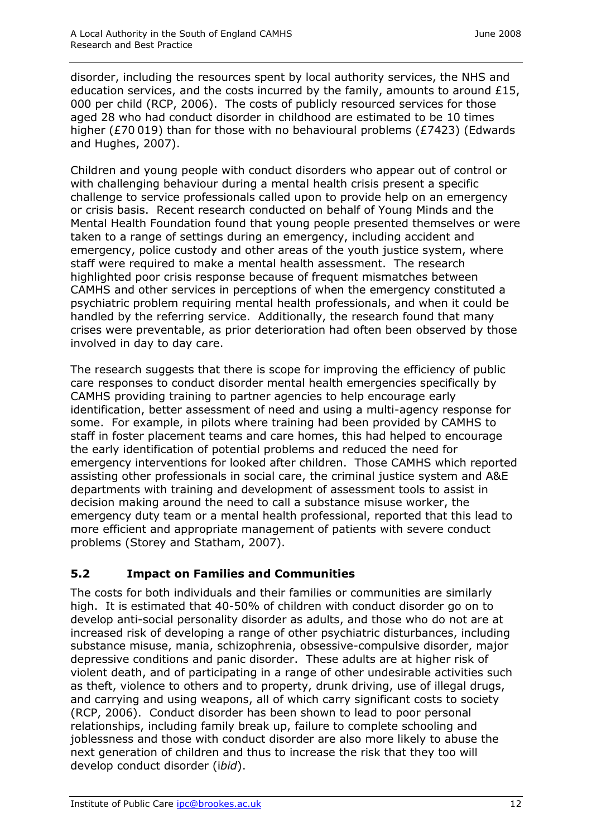disorder, including the resources spent by local authority services, the NHS and education services, and the costs incurred by the family, amounts to around £15, 000 per child (RCP, 2006). The costs of publicly resourced services for those aged 28 who had conduct disorder in childhood are estimated to be 10 times higher (£70 019) than for those with no behavioural problems (£7423) (Edwards and Hughes, 2007).

Children and young people with conduct disorders who appear out of control or with challenging behaviour during a mental health crisis present a specific challenge to service professionals called upon to provide help on an emergency or crisis basis. Recent research conducted on behalf of Young Minds and the Mental Health Foundation found that young people presented themselves or were taken to a range of settings during an emergency, including accident and emergency, police custody and other areas of the youth justice system, where staff were required to make a mental health assessment. The research highlighted poor crisis response because of frequent mismatches between CAMHS and other services in perceptions of when the emergency constituted a psychiatric problem requiring mental health professionals, and when it could be handled by the referring service. Additionally, the research found that many crises were preventable, as prior deterioration had often been observed by those involved in day to day care.

The research suggests that there is scope for improving the efficiency of public care responses to conduct disorder mental health emergencies specifically by CAMHS providing training to partner agencies to help encourage early identification, better assessment of need and using a multi-agency response for some. For example, in pilots where training had been provided by CAMHS to staff in foster placement teams and care homes, this had helped to encourage the early identification of potential problems and reduced the need for emergency interventions for looked after children. Those CAMHS which reported assisting other professionals in social care, the criminal justice system and A&E departments with training and development of assessment tools to assist in decision making around the need to call a substance misuse worker, the emergency duty team or a mental health professional, reported that this lead to more efficient and appropriate management of patients with severe conduct problems (Storey and Statham, 2007).

## **5.2 Impact on Families and Communities**

The costs for both individuals and their families or communities are similarly high. It is estimated that 40-50% of children with conduct disorder go on to develop anti-social personality disorder as adults, and those who do not are at increased risk of developing a range of other psychiatric disturbances, including substance misuse, mania, schizophrenia, obsessive-compulsive disorder, major depressive conditions and panic disorder. These adults are at higher risk of violent death, and of participating in a range of other undesirable activities such as theft, violence to others and to property, drunk driving, use of illegal drugs, and carrying and using weapons, all of which carry significant costs to society (RCP, 2006). Conduct disorder has been shown to lead to poor personal relationships, including family break up, failure to complete schooling and joblessness and those with conduct disorder are also more likely to abuse the next generation of children and thus to increase the risk that they too will develop conduct disorder (i*bid*).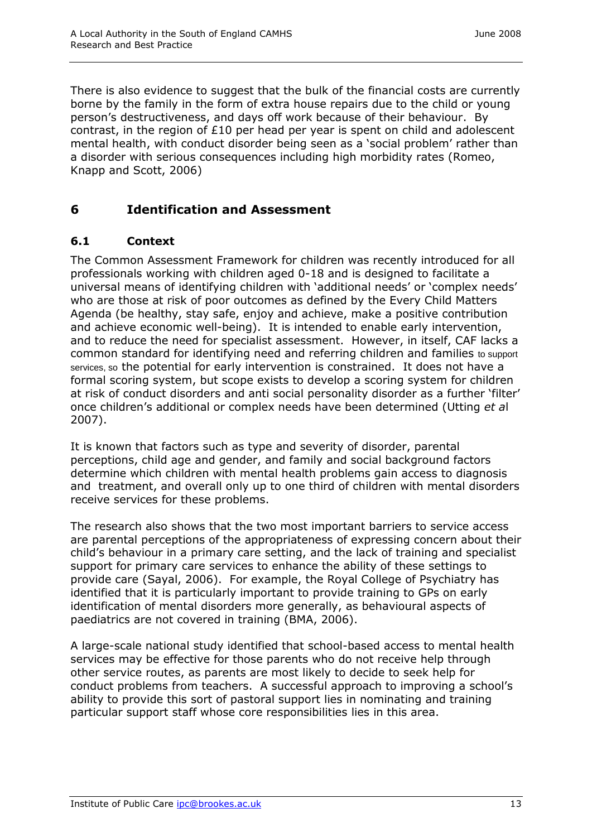There is also evidence to suggest that the bulk of the financial costs are currently borne by the family in the form of extra house repairs due to the child or young person's destructiveness, and days off work because of their behaviour. By contrast, in the region of £10 per head per year is spent on child and adolescent mental health, with conduct disorder being seen as a 'social problem' rather than a disorder with serious consequences including high morbidity rates (Romeo, Knapp and Scott, 2006)

## **6 Identification and Assessment**

#### **6.1 Context**

The Common Assessment Framework for children was recently introduced for all professionals working with children aged 0-18 and is designed to facilitate a universal means of identifying children with 'additional needs' or 'complex needs' who are those at risk of poor outcomes as defined by the Every Child Matters Agenda (be healthy, stay safe, enjoy and achieve, make a positive contribution and achieve economic well-being). It is intended to enable early intervention, and to reduce the need for specialist assessment. However, in itself, CAF lacks a common standard for identifying need and referring children and families to support services, so the potential for early intervention is constrained. It does not have a formal scoring system, but scope exists to develop a scoring system for children at risk of conduct disorders and anti social personality disorder as a further 'filter' once children's additional or complex needs have been determined (Utting *et a*l 2007).

It is known that factors such as type and severity of disorder, parental perceptions, child age and gender, and family and social background factors determine which children with mental health problems gain access to diagnosis and treatment, and overall only up to one third of children with mental disorders receive services for these problems.

The research also shows that the two most important barriers to service access are parental perceptions of the appropriateness of expressing concern about their child's behaviour in a primary care setting, and the lack of training and specialist support for primary care services to enhance the ability of these settings to provide care (Sayal, 2006). For example, the Royal College of Psychiatry has identified that it is particularly important to provide training to GPs on early identification of mental disorders more generally, as behavioural aspects of paediatrics are not covered in training (BMA, 2006).

A large-scale national study identified that school-based access to mental health services may be effective for those parents who do not receive help through other service routes, as parents are most likely to decide to seek help for conduct problems from teachers. A successful approach to improving a school's ability to provide this sort of pastoral support lies in nominating and training particular support staff whose core responsibilities lies in this area.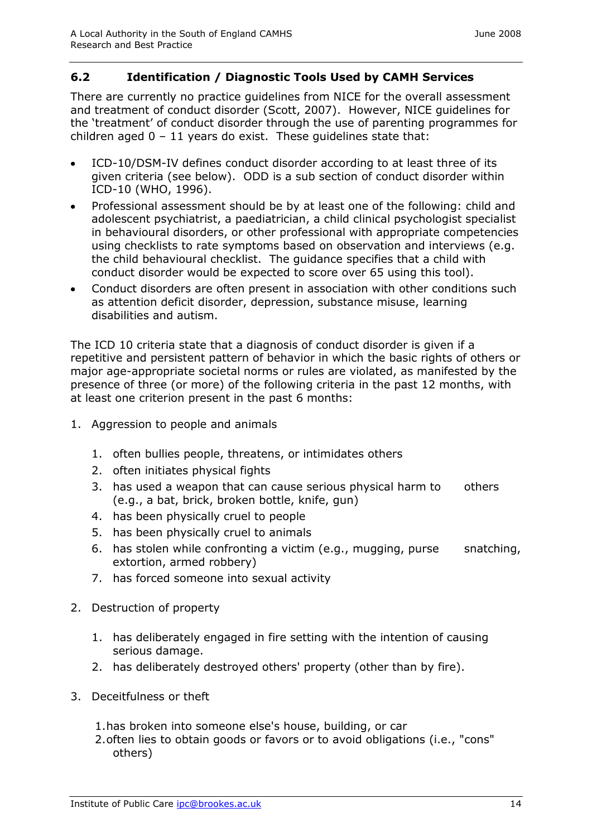#### **6.2 Identification / Diagnostic Tools Used by CAMH Services**

There are currently no practice guidelines from NICE for the overall assessment and treatment of conduct disorder (Scott, 2007). However, NICE guidelines for the 'treatment' of conduct disorder through the use of parenting programmes for children aged  $0 - 11$  years do exist. These guidelines state that:

- ICD-10/DSM-IV defines conduct disorder according to at least three of its  $\bullet$ given criteria (see below). ODD is a sub section of conduct disorder within ICD-10 (WHO, 1996).
- Professional assessment should be by at least one of the following: child and adolescent psychiatrist, a paediatrician, a child clinical psychologist specialist in behavioural disorders, or other professional with appropriate competencies using checklists to rate symptoms based on observation and interviews (e.g. the child behavioural checklist. The guidance specifies that a child with conduct disorder would be expected to score over 65 using this tool).
- Conduct disorders are often present in association with other conditions such  $\bullet$ as attention deficit disorder, depression, substance misuse, learning disabilities and autism.

The ICD 10 criteria state that a diagnosis of conduct disorder is given if a repetitive and persistent pattern of behavior in which the basic rights of others or major age-appropriate societal norms or rules are violated, as manifested by the presence of three (or more) of the following criteria in the past 12 months, with at least one criterion present in the past 6 months:

- 1. Aggression to people and animals
	- 1. often bullies people, threatens, or intimidates others
	- 2. often initiates physical fights
	- 3. has used a weapon that can cause serious physical harm to others (e.g., a bat, brick, broken bottle, knife, gun)
	- 4. has been physically cruel to people
	- 5. has been physically cruel to animals
	- 6. has stolen while confronting a victim (e.g., mugging, purse snatching, extortion, armed robbery)
	- 7. has forced someone into sexual activity
- 2. Destruction of property
	- 1. has deliberately engaged in fire setting with the intention of causing serious damage.
	- 2. has deliberately destroyed others' property (other than by fire).
- 3. Deceitfulness or theft
	- 1.has broken into someone else's house, building, or car
	- 2.often lies to obtain goods or favors or to avoid obligations (i.e., "cons" others)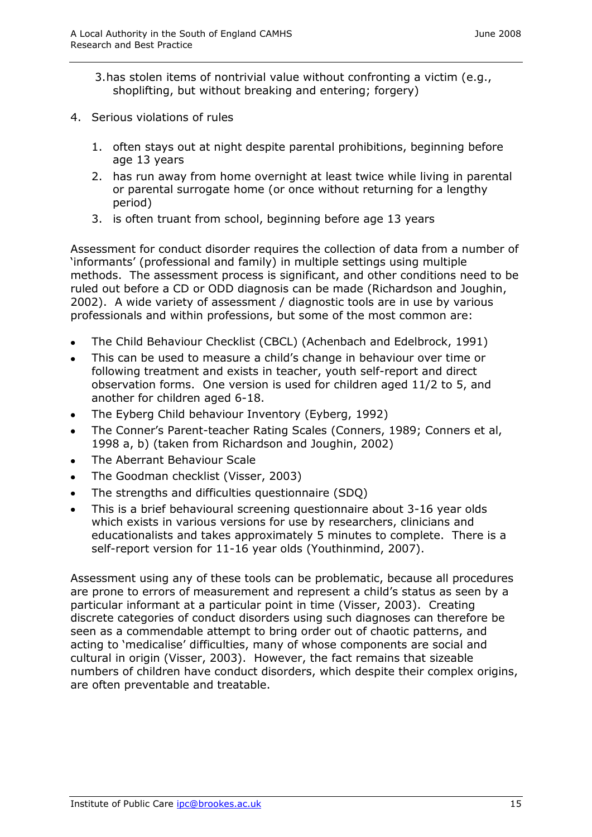- 3.has stolen items of nontrivial value without confronting a victim (e.g., shoplifting, but without breaking and entering; forgery)
- 4. Serious violations of rules
	- 1. often stays out at night despite parental prohibitions, beginning before age 13 years
	- 2. has run away from home overnight at least twice while living in parental or parental surrogate home (or once without returning for a lengthy period)
	- 3. is often truant from school, beginning before age 13 years

Assessment for conduct disorder requires the collection of data from a number of 'informants' (professional and family) in multiple settings using multiple methods. The assessment process is significant, and other conditions need to be ruled out before a CD or ODD diagnosis can be made (Richardson and Joughin, 2002). A wide variety of assessment / diagnostic tools are in use by various professionals and within professions, but some of the most common are:

- The Child Behaviour Checklist (CBCL) (Achenbach and Edelbrock, 1991)  $\bullet$
- This can be used to measure a child's change in behaviour over time or  $\bullet$ following treatment and exists in teacher, youth self-report and direct observation forms. One version is used for children aged 11/2 to 5, and another for children aged 6-18.
- The Eyberg Child behaviour Inventory (Eyberg, 1992)  $\bullet$
- The Conner's Parent-teacher Rating Scales (Conners, 1989; Conners et al,  $\bullet$ 1998 a, b) (taken from Richardson and Joughin, 2002)
- The Aberrant Behaviour Scale  $\bullet$
- The Goodman checklist (Visser, 2003)  $\bullet$
- The strengths and difficulties questionnaire (SDQ)  $\bullet$
- This is a brief behavioural screening questionnaire about 3-16 year olds  $\bullet$ which exists in various versions for use by researchers, clinicians and educationalists and takes approximately 5 minutes to complete. There is a self-report version for 11-16 year olds (Youthinmind, 2007).

Assessment using any of these tools can be problematic, because all procedures are prone to errors of measurement and represent a child's status as seen by a particular informant at a particular point in time (Visser, 2003). Creating discrete categories of conduct disorders using such diagnoses can therefore be seen as a commendable attempt to bring order out of chaotic patterns, and acting to 'medicalise' difficulties, many of whose components are social and cultural in origin (Visser, 2003). However, the fact remains that sizeable numbers of children have conduct disorders, which despite their complex origins, are often preventable and treatable.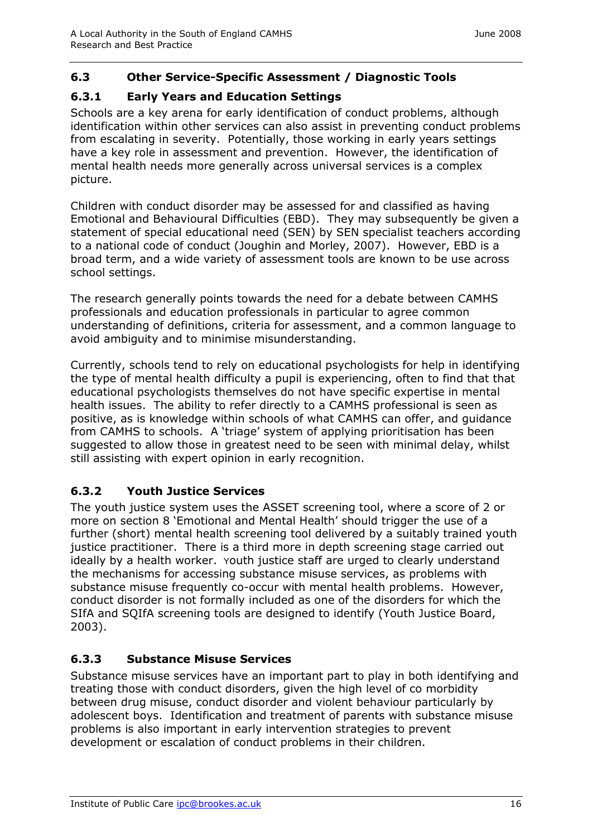#### **6.3 Other Service-Specific Assessment / Diagnostic Tools**

#### **6.3.1 Early Years and Education Settings**

Schools are a key arena for early identification of conduct problems, although identification within other services can also assist in preventing conduct problems from escalating in severity. Potentially, those working in early years settings have a key role in assessment and prevention. However, the identification of mental health needs more generally across universal services is a complex picture.

Children with conduct disorder may be assessed for and classified as having Emotional and Behavioural Difficulties (EBD). They may subsequently be given a statement of special educational need (SEN) by SEN specialist teachers according to a national code of conduct (Joughin and Morley, 2007). However, EBD is a broad term, and a wide variety of assessment tools are known to be use across school settings.

The research generally points towards the need for a debate between CAMHS professionals and education professionals in particular to agree common understanding of definitions, criteria for assessment, and a common language to avoid ambiguity and to minimise misunderstanding.

Currently, schools tend to rely on educational psychologists for help in identifying the type of mental health difficulty a pupil is experiencing, often to find that that educational psychologists themselves do not have specific expertise in mental health issues. The ability to refer directly to a CAMHS professional is seen as positive, as is knowledge within schools of what CAMHS can offer, and guidance from CAMHS to schools. A 'triage' system of applying prioritisation has been suggested to allow those in greatest need to be seen with minimal delay, whilst still assisting with expert opinion in early recognition.

#### **6.3.2 Youth Justice Services**

The youth justice system uses the ASSET screening tool, where a score of 2 or more on section 8 'Emotional and Mental Health' should trigger the use of a further (short) mental health screening tool delivered by a suitably trained youth justice practitioner. There is a third more in depth screening stage carried out ideally by a health worker. Youth justice staff are urged to clearly understand the mechanisms for accessing substance misuse services, as problems with substance misuse frequently co-occur with mental health problems. However, conduct disorder is not formally included as one of the disorders for which the SIfA and SQIfA screening tools are designed to identify (Youth Justice Board, 2003).

## **6.3.3 Substance Misuse Services**

Substance misuse services have an important part to play in both identifying and treating those with conduct disorders, given the high level of co morbidity between drug misuse, conduct disorder and violent behaviour particularly by adolescent boys. Identification and treatment of parents with substance misuse problems is also important in early intervention strategies to prevent development or escalation of conduct problems in their children.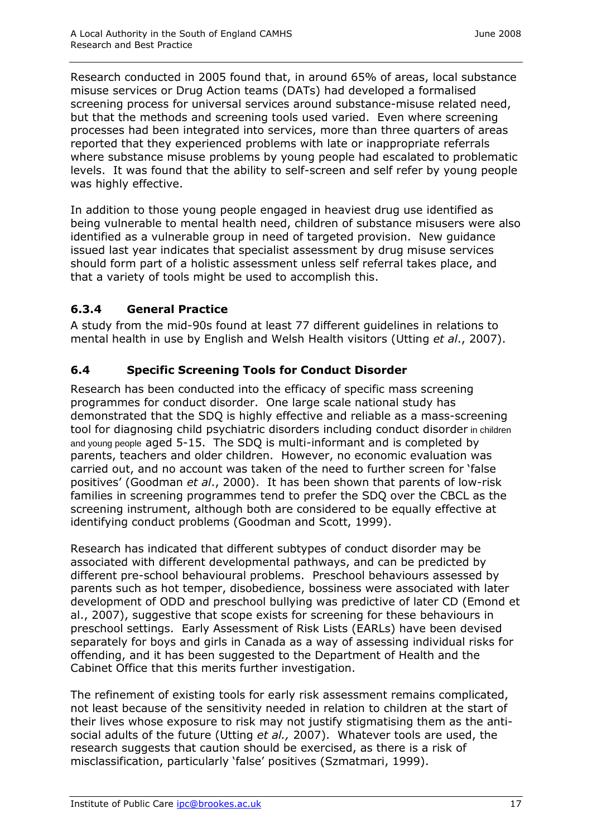Research conducted in 2005 found that, in around 65% of areas, local substance misuse services or Drug Action teams (DATs) had developed a formalised screening process for universal services around substance-misuse related need, but that the methods and screening tools used varied. Even where screening processes had been integrated into services, more than three quarters of areas reported that they experienced problems with late or inappropriate referrals where substance misuse problems by young people had escalated to problematic levels. It was found that the ability to self-screen and self refer by young people was highly effective.

In addition to those young people engaged in heaviest drug use identified as being vulnerable to mental health need, children of substance misusers were also identified as a vulnerable group in need of targeted provision. New guidance issued last year indicates that specialist assessment by drug misuse services should form part of a holistic assessment unless self referral takes place, and that a variety of tools might be used to accomplish this.

#### **6.3.4 General Practice**

A study from the mid-90s found at least 77 different guidelines in relations to mental health in use by English and Welsh Health visitors (Utting *et al*., 2007).

#### **6.4 Specific Screening Tools for Conduct Disorder**

Research has been conducted into the efficacy of specific mass screening programmes for conduct disorder. One large scale national study has demonstrated that the SDQ is highly effective and reliable as a mass-screening tool for diagnosing child psychiatric disorders including conduct disorder in children and young people aged 5-15. The SDQ is multi-informant and is completed by parents, teachers and older children. However, no economic evaluation was carried out, and no account was taken of the need to further screen for 'false positives' (Goodman *et al*., 2000). It has been shown that parents of low-risk families in screening programmes tend to prefer the SDQ over the CBCL as the screening instrument, although both are considered to be equally effective at identifying conduct problems (Goodman and Scott, 1999).

Research has indicated that different subtypes of conduct disorder may be associated with different developmental pathways, and can be predicted by different pre-school behavioural problems. Preschool behaviours assessed by parents such as hot temper, disobedience, bossiness were associated with later development of ODD and preschool bullying was predictive of later CD (Emond et al., 2007), suggestive that scope exists for screening for these behaviours in preschool settings. Early Assessment of Risk Lists (EARLs) have been devised separately for boys and girls in Canada as a way of assessing individual risks for offending, and it has been suggested to the Department of Health and the Cabinet Office that this merits further investigation.

The refinement of existing tools for early risk assessment remains complicated, not least because of the sensitivity needed in relation to children at the start of their lives whose exposure to risk may not justify stigmatising them as the antisocial adults of the future (Utting *et al.,* 2007). Whatever tools are used, the research suggests that caution should be exercised, as there is a risk of misclassification, particularly 'false' positives (Szmatmari, 1999).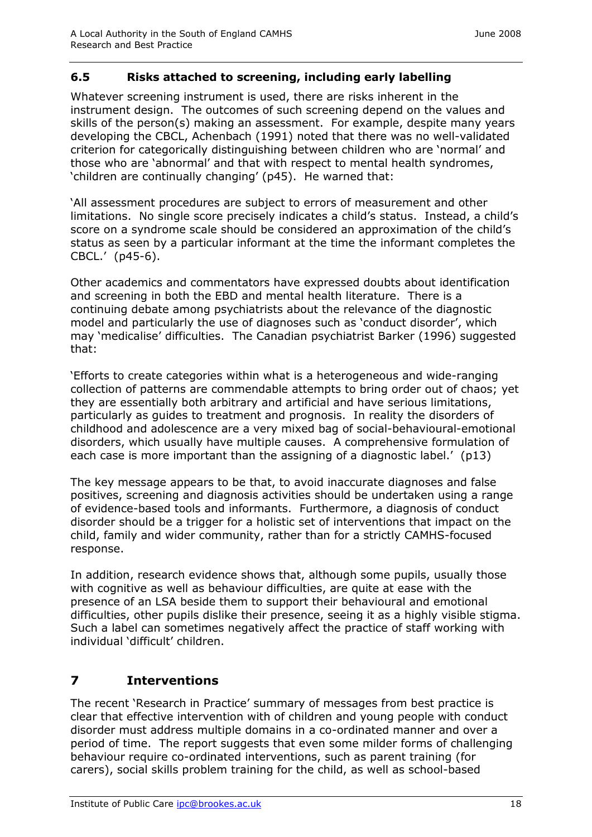#### **6.5 Risks attached to screening, including early labelling**

Whatever screening instrument is used, there are risks inherent in the instrument design. The outcomes of such screening depend on the values and skills of the person(s) making an assessment. For example, despite many years developing the CBCL, Achenbach (1991) noted that there was no well-validated criterion for categorically distinguishing between children who are 'normal' and those who are 'abnormal' and that with respect to mental health syndromes, 'children are continually changing' (p45). He warned that:

'All assessment procedures are subject to errors of measurement and other limitations. No single score precisely indicates a child's status. Instead, a child's score on a syndrome scale should be considered an approximation of the child's status as seen by a particular informant at the time the informant completes the CBCL.' (p45-6).

Other academics and commentators have expressed doubts about identification and screening in both the EBD and mental health literature. There is a continuing debate among psychiatrists about the relevance of the diagnostic model and particularly the use of diagnoses such as 'conduct disorder', which may 'medicalise' difficulties. The Canadian psychiatrist Barker (1996) suggested that:

'Efforts to create categories within what is a heterogeneous and wide-ranging collection of patterns are commendable attempts to bring order out of chaos; yet they are essentially both arbitrary and artificial and have serious limitations, particularly as guides to treatment and prognosis. In reality the disorders of childhood and adolescence are a very mixed bag of social-behavioural-emotional disorders, which usually have multiple causes. A comprehensive formulation of each case is more important than the assigning of a diagnostic label.' (p13)

The key message appears to be that, to avoid inaccurate diagnoses and false positives, screening and diagnosis activities should be undertaken using a range of evidence-based tools and informants. Furthermore, a diagnosis of conduct disorder should be a trigger for a holistic set of interventions that impact on the child, family and wider community, rather than for a strictly CAMHS-focused response.

In addition, research evidence shows that, although some pupils, usually those with cognitive as well as behaviour difficulties, are quite at ease with the presence of an LSA beside them to support their behavioural and emotional difficulties, other pupils dislike their presence, seeing it as a highly visible stigma. Such a label can sometimes negatively affect the practice of staff working with individual 'difficult' children.

# **7 Interventions**

The recent 'Research in Practice' summary of messages from best practice is clear that effective intervention with of children and young people with conduct disorder must address multiple domains in a co-ordinated manner and over a period of time. The report suggests that even some milder forms of challenging behaviour require co-ordinated interventions, such as parent training (for carers), social skills problem training for the child, as well as school-based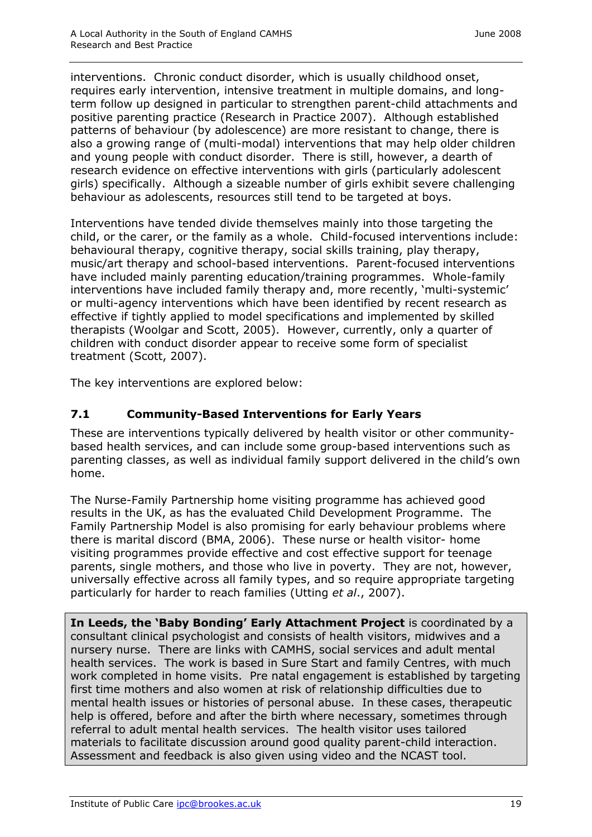interventions. Chronic conduct disorder, which is usually childhood onset, requires early intervention, intensive treatment in multiple domains, and longterm follow up designed in particular to strengthen parent-child attachments and positive parenting practice (Research in Practice 2007). Although established patterns of behaviour (by adolescence) are more resistant to change, there is also a growing range of (multi-modal) interventions that may help older children and young people with conduct disorder. There is still, however, a dearth of research evidence on effective interventions with girls (particularly adolescent girls) specifically. Although a sizeable number of girls exhibit severe challenging behaviour as adolescents, resources still tend to be targeted at boys.

Interventions have tended divide themselves mainly into those targeting the child, or the carer, or the family as a whole. Child-focused interventions include: behavioural therapy, cognitive therapy, social skills training, play therapy, music/art therapy and school-based interventions. Parent-focused interventions have included mainly parenting education/training programmes. Whole-family interventions have included family therapy and, more recently, 'multi-systemic' or multi-agency interventions which have been identified by recent research as effective if tightly applied to model specifications and implemented by skilled therapists (Woolgar and Scott, 2005). However, currently, only a quarter of children with conduct disorder appear to receive some form of specialist treatment (Scott, 2007).

The key interventions are explored below:

## **7.1 Community-Based Interventions for Early Years**

These are interventions typically delivered by health visitor or other communitybased health services, and can include some group-based interventions such as parenting classes, as well as individual family support delivered in the child's own home.

The Nurse-Family Partnership home visiting programme has achieved good results in the UK, as has the evaluated Child Development Programme. The Family Partnership Model is also promising for early behaviour problems where there is marital discord (BMA, 2006). These nurse or health visitor- home visiting programmes provide effective and cost effective support for teenage parents, single mothers, and those who live in poverty. They are not, however, universally effective across all family types, and so require appropriate targeting particularly for harder to reach families (Utting *et al*., 2007).

**In Leeds, the 'Baby Bonding' Early Attachment Project** is coordinated by a consultant clinical psychologist and consists of health visitors, midwives and a nursery nurse. There are links with CAMHS, social services and adult mental health services. The work is based in Sure Start and family Centres, with much work completed in home visits. Pre natal engagement is established by targeting first time mothers and also women at risk of relationship difficulties due to mental health issues or histories of personal abuse. In these cases, therapeutic help is offered, before and after the birth where necessary, sometimes through referral to adult mental health services. The health visitor uses tailored materials to facilitate discussion around good quality parent-child interaction. Assessment and feedback is also given using video and the NCAST tool.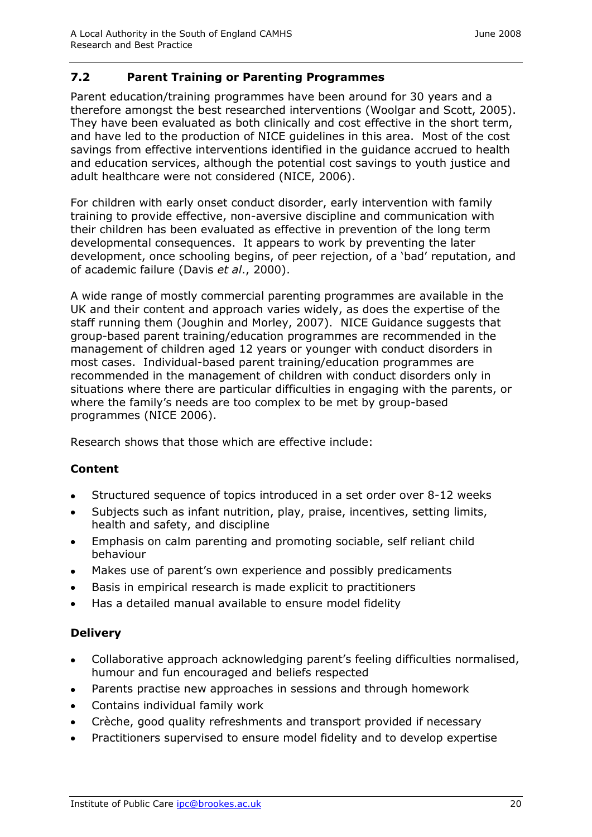#### **7.2 Parent Training or Parenting Programmes**

Parent education/training programmes have been around for 30 years and a therefore amongst the best researched interventions (Woolgar and Scott, 2005). They have been evaluated as both clinically and cost effective in the short term, and have led to the production of NICE guidelines in this area. Most of the cost savings from effective interventions identified in the guidance accrued to health and education services, although the potential cost savings to youth justice and adult healthcare were not considered (NICE, 2006).

For children with early onset conduct disorder, early intervention with family training to provide effective, non-aversive discipline and communication with their children has been evaluated as effective in prevention of the long term developmental consequences. It appears to work by preventing the later development, once schooling begins, of peer rejection, of a 'bad' reputation, and of academic failure (Davis *et al*., 2000).

A wide range of mostly commercial parenting programmes are available in the UK and their content and approach varies widely, as does the expertise of the staff running them (Joughin and Morley, 2007). NICE Guidance suggests that group-based parent training/education programmes are recommended in the management of children aged 12 years or younger with conduct disorders in most cases. Individual-based parent training/education programmes are recommended in the management of children with conduct disorders only in situations where there are particular difficulties in engaging with the parents, or where the family's needs are too complex to be met by group-based programmes (NICE 2006).

Research shows that those which are effective include:

## **Content**

- Structured sequence of topics introduced in a set order over 8-12 weeks  $\bullet$
- Subjects such as infant nutrition, play, praise, incentives, setting limits,  $\bullet$ health and safety, and discipline
- Emphasis on calm parenting and promoting sociable, self reliant child  $\bullet$ behaviour
- Makes use of parent's own experience and possibly predicaments  $\bullet$
- Basis in empirical research is made explicit to practitioners  $\bullet$
- Has a detailed manual available to ensure model fidelity

#### **Delivery**

- Collaborative approach acknowledging parent's feeling difficulties normalised,  $\bullet$ humour and fun encouraged and beliefs respected
- Parents practise new approaches in sessions and through homework  $\bullet$
- Contains individual family work  $\bullet$
- Crèche, good quality refreshments and transport provided if necessary  $\bullet$
- Practitioners supervised to ensure model fidelity and to develop expertise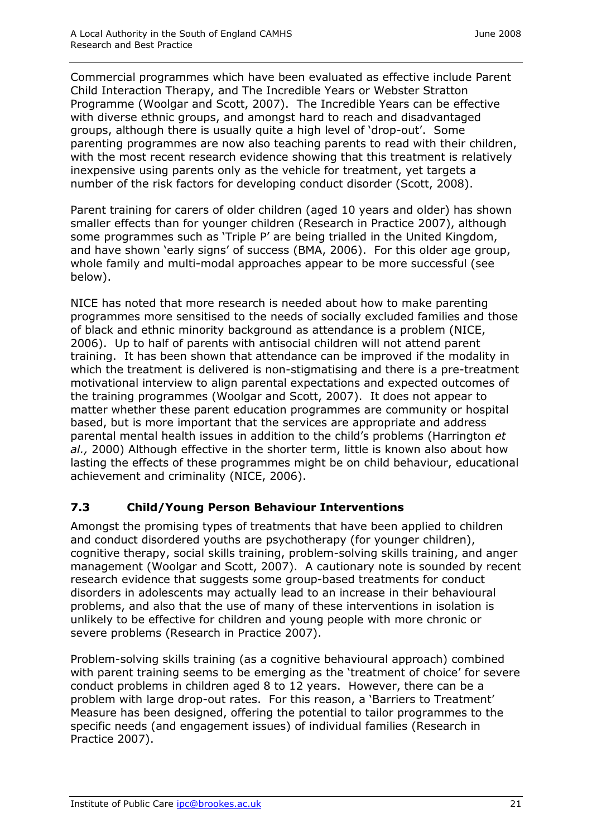Commercial programmes which have been evaluated as effective include Parent Child Interaction Therapy, and The Incredible Years or Webster Stratton Programme (Woolgar and Scott, 2007). The Incredible Years can be effective with diverse ethnic groups, and amongst hard to reach and disadvantaged groups, although there is usually quite a high level of 'drop-out'. Some parenting programmes are now also teaching parents to read with their children, with the most recent research evidence showing that this treatment is relatively inexpensive using parents only as the vehicle for treatment, yet targets a number of the risk factors for developing conduct disorder (Scott, 2008).

Parent training for carers of older children (aged 10 years and older) has shown smaller effects than for younger children (Research in Practice 2007), although some programmes such as 'Triple P' are being trialled in the United Kingdom, and have shown 'early signs' of success (BMA, 2006). For this older age group, whole family and multi-modal approaches appear to be more successful (see below).

NICE has noted that more research is needed about how to make parenting programmes more sensitised to the needs of socially excluded families and those of black and ethnic minority background as attendance is a problem (NICE, 2006). Up to half of parents with antisocial children will not attend parent training. It has been shown that attendance can be improved if the modality in which the treatment is delivered is non-stigmatising and there is a pre-treatment motivational interview to align parental expectations and expected outcomes of the training programmes (Woolgar and Scott, 2007). It does not appear to matter whether these parent education programmes are community or hospital based, but is more important that the services are appropriate and address parental mental health issues in addition to the child's problems (Harrington *et al.,* 2000) Although effective in the shorter term, little is known also about how lasting the effects of these programmes might be on child behaviour, educational achievement and criminality (NICE, 2006).

#### **7.3 Child/Young Person Behaviour Interventions**

Amongst the promising types of treatments that have been applied to children and conduct disordered youths are psychotherapy (for younger children), cognitive therapy, social skills training, problem-solving skills training, and anger management (Woolgar and Scott, 2007). A cautionary note is sounded by recent research evidence that suggests some group-based treatments for conduct disorders in adolescents may actually lead to an increase in their behavioural problems, and also that the use of many of these interventions in isolation is unlikely to be effective for children and young people with more chronic or severe problems (Research in Practice 2007).

Problem-solving skills training (as a cognitive behavioural approach) combined with parent training seems to be emerging as the 'treatment of choice' for severe conduct problems in children aged 8 to 12 years. However, there can be a problem with large drop-out rates. For this reason, a 'Barriers to Treatment' Measure has been designed, offering the potential to tailor programmes to the specific needs (and engagement issues) of individual families (Research in Practice 2007).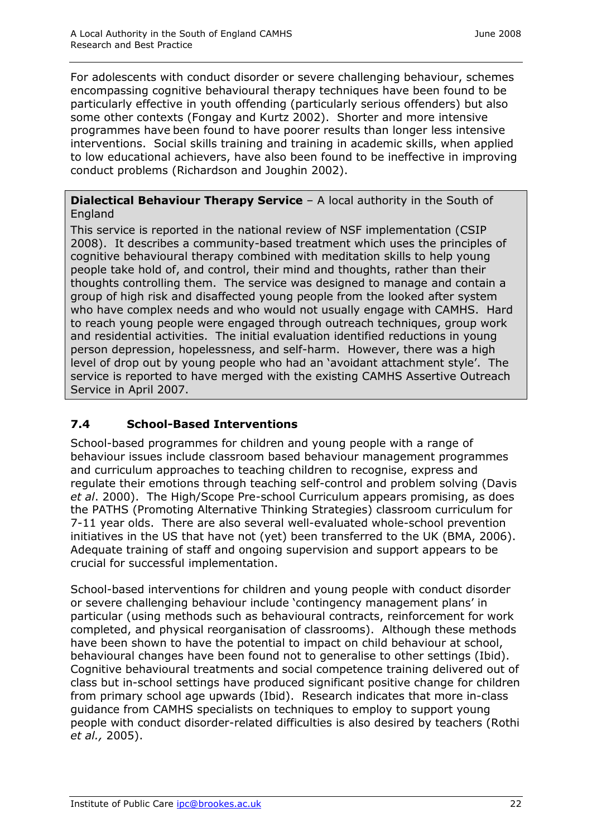For adolescents with conduct disorder or severe challenging behaviour, schemes encompassing cognitive behavioural therapy techniques have been found to be particularly effective in youth offending (particularly serious offenders) but also some other contexts (Fongay and Kurtz 2002). Shorter and more intensive programmes have been found to have poorer results than longer less intensive interventions. Social skills training and training in academic skills, when applied to low educational achievers, have also been found to be ineffective in improving conduct problems (Richardson and Joughin 2002).

#### **Dialectical Behaviour Therapy Service** – A local authority in the South of England

This service is reported in the national review of NSF implementation (CSIP 2008). It describes a community-based treatment which uses the principles of cognitive behavioural therapy combined with meditation skills to help young people take hold of, and control, their mind and thoughts, rather than their thoughts controlling them. The service was designed to manage and contain a group of high risk and disaffected young people from the looked after system who have complex needs and who would not usually engage with CAMHS. Hard to reach young people were engaged through outreach techniques, group work and residential activities. The initial evaluation identified reductions in young person depression, hopelessness, and self-harm. However, there was a high level of drop out by young people who had an 'avoidant attachment style'. The service is reported to have merged with the existing CAMHS Assertive Outreach Service in April 2007.

## **7.4 School-Based Interventions**

School-based programmes for children and young people with a range of behaviour issues include classroom based behaviour management programmes and curriculum approaches to teaching children to recognise, express and regulate their emotions through teaching self-control and problem solving (Davis *et al*. 2000). The High/Scope Pre-school Curriculum appears promising, as does the PATHS (Promoting Alternative Thinking Strategies) classroom curriculum for 7-11 year olds. There are also several well-evaluated whole-school prevention initiatives in the US that have not (yet) been transferred to the UK (BMA, 2006). Adequate training of staff and ongoing supervision and support appears to be crucial for successful implementation.

School-based interventions for children and young people with conduct disorder or severe challenging behaviour include 'contingency management plans' in particular (using methods such as behavioural contracts, reinforcement for work completed, and physical reorganisation of classrooms). Although these methods have been shown to have the potential to impact on child behaviour at school, behavioural changes have been found not to generalise to other settings (Ibid). Cognitive behavioural treatments and social competence training delivered out of class but in-school settings have produced significant positive change for children from primary school age upwards (Ibid). Research indicates that more in-class guidance from CAMHS specialists on techniques to employ to support young people with conduct disorder-related difficulties is also desired by teachers (Rothi *et al.,* 2005).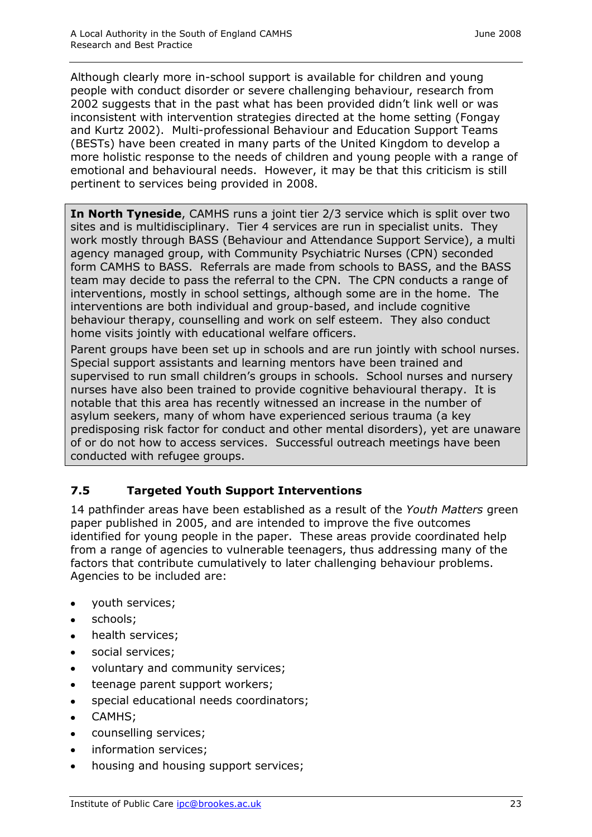Although clearly more in-school support is available for children and young people with conduct disorder or severe challenging behaviour, research from 2002 suggests that in the past what has been provided didn't link well or was inconsistent with intervention strategies directed at the home setting (Fongay and Kurtz 2002). Multi-professional Behaviour and Education Support Teams (BESTs) have been created in many parts of the United Kingdom to develop a more holistic response to the needs of children and young people with a range of emotional and behavioural needs. However, it may be that this criticism is still pertinent to services being provided in 2008.

**In North Tyneside**, CAMHS runs a joint tier 2/3 service which is split over two sites and is multidisciplinary. Tier 4 services are run in specialist units. They work mostly through BASS (Behaviour and Attendance Support Service), a multi agency managed group, with Community Psychiatric Nurses (CPN) seconded form CAMHS to BASS. Referrals are made from schools to BASS, and the BASS team may decide to pass the referral to the CPN. The CPN conducts a range of interventions, mostly in school settings, although some are in the home. The interventions are both individual and group-based, and include cognitive behaviour therapy, counselling and work on self esteem. They also conduct home visits jointly with educational welfare officers.

Parent groups have been set up in schools and are run jointly with school nurses. Special support assistants and learning mentors have been trained and supervised to run small children's groups in schools. School nurses and nursery nurses have also been trained to provide cognitive behavioural therapy. It is notable that this area has recently witnessed an increase in the number of asylum seekers, many of whom have experienced serious trauma (a key predisposing risk factor for conduct and other mental disorders), yet are unaware of or do not how to access services. Successful outreach meetings have been conducted with refugee groups.

## **7.5 Targeted Youth Support Interventions**

14 pathfinder areas have been established as a result of the *Youth Matters* green paper published in 2005, and are intended to improve the five outcomes identified for young people in the paper. These areas provide coordinated help from a range of agencies to vulnerable teenagers, thus addressing many of the factors that contribute cumulatively to later challenging behaviour problems. Agencies to be included are:

- youth services;  $\bullet$
- $\bullet$ schools;
- health services;
- social services;  $\bullet$
- voluntary and community services;  $\bullet$
- teenage parent support workers;  $\bullet$
- special educational needs coordinators;  $\bullet$
- CAMHS;  $\bullet$
- counselling services;  $\bullet$
- information services;
- housing and housing support services; $\bullet$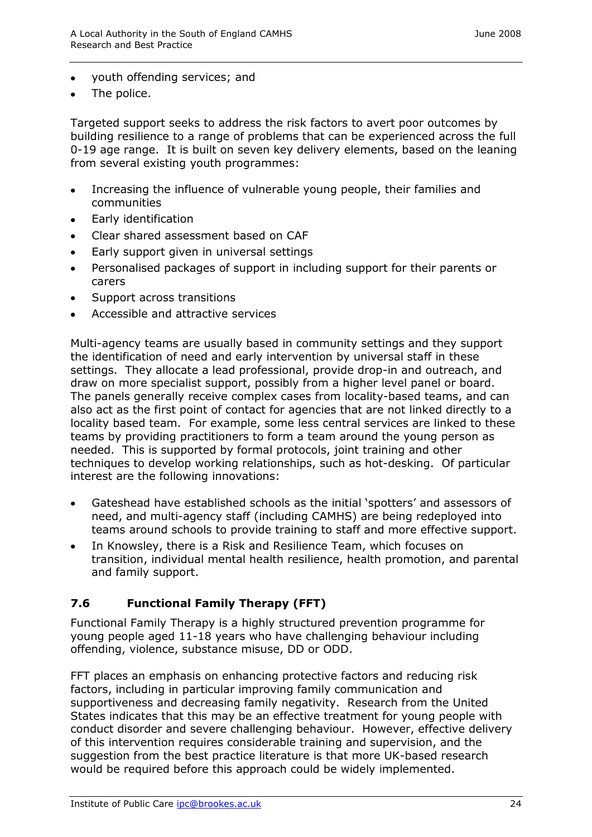- youth offending services; and
- The police.

Targeted support seeks to address the risk factors to avert poor outcomes by building resilience to a range of problems that can be experienced across the full 0-19 age range. It is built on seven key delivery elements, based on the leaning from several existing youth programmes:

- Increasing the influence of vulnerable young people, their families and  $\bullet$ communities
- Early identification  $\bullet$
- Clear shared assessment based on CAF  $\bullet$
- Early support given in universal settings  $\bullet$
- Personalised packages of support in including support for their parents or  $\bullet$ carers
- Support across transitions  $\bullet$
- Accessible and attractive services

Multi-agency teams are usually based in community settings and they support the identification of need and early intervention by universal staff in these settings. They allocate a lead professional, provide drop-in and outreach, and draw on more specialist support, possibly from a higher level panel or board. The panels generally receive complex cases from locality-based teams, and can also act as the first point of contact for agencies that are not linked directly to a locality based team. For example, some less central services are linked to these teams by providing practitioners to form a team around the young person as needed. This is supported by formal protocols, joint training and other techniques to develop working relationships, such as hot-desking. Of particular interest are the following innovations:

- Gateshead have established schools as the initial 'spotters' and assessors of need, and multi-agency staff (including CAMHS) are being redeployed into teams around schools to provide training to staff and more effective support.
- In Knowsley, there is a Risk and Resilience Team, which focuses on transition, individual mental health resilience, health promotion, and parental and family support.

#### **7.6 Functional Family Therapy (FFT)**

Functional Family Therapy is a highly structured prevention programme for young people aged 11-18 years who have challenging behaviour including offending, violence, substance misuse, DD or ODD.

FFT places an emphasis on enhancing protective factors and reducing risk factors, including in particular improving family communication and supportiveness and decreasing family negativity. Research from the United States indicates that this may be an effective treatment for young people with conduct disorder and severe challenging behaviour. However, effective delivery of this intervention requires considerable training and supervision, and the suggestion from the best practice literature is that more UK-based research would be required before this approach could be widely implemented.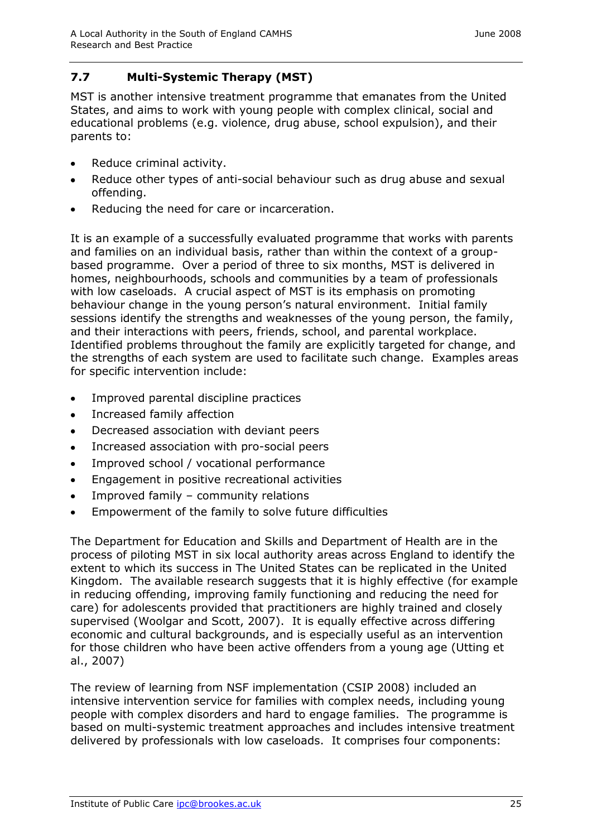## **7.7 Multi-Systemic Therapy (MST)**

MST is another intensive treatment programme that emanates from the United States, and aims to work with young people with complex clinical, social and educational problems (e.g. violence, drug abuse, school expulsion), and their parents to:

- Reduce criminal activity.  $\bullet$
- Reduce other types of anti-social behaviour such as drug abuse and sexual  $\bullet$ offending.
- Reducing the need for care or incarceration.

It is an example of a successfully evaluated programme that works with parents and families on an individual basis, rather than within the context of a groupbased programme. Over a period of three to six months, MST is delivered in homes, neighbourhoods, schools and communities by a team of professionals with low caseloads. A crucial aspect of MST is its emphasis on promoting behaviour change in the young person's natural environment. Initial family sessions identify the strengths and weaknesses of the young person, the family, and their interactions with peers, friends, school, and parental workplace. Identified problems throughout the family are explicitly targeted for change, and the strengths of each system are used to facilitate such change. Examples areas for specific intervention include:

- Improved parental discipline practices  $\bullet$
- Increased family affection  $\bullet$
- Decreased association with deviant peers  $\bullet$
- Increased association with pro-social peers  $\bullet$
- $\bullet$ Improved school / vocational performance
- Engagement in positive recreational activities  $\bullet$
- Improved family community relations  $\bullet$
- Empowerment of the family to solve future difficulties  $\bullet$

The Department for Education and Skills and Department of Health are in the process of piloting MST in six local authority areas across England to identify the extent to which its success in The United States can be replicated in the United Kingdom. The available research suggests that it is highly effective (for example in reducing offending, improving family functioning and reducing the need for care) for adolescents provided that practitioners are highly trained and closely supervised (Woolgar and Scott, 2007). It is equally effective across differing economic and cultural backgrounds, and is especially useful as an intervention for those children who have been active offenders from a young age (Utting et al., 2007)

The review of learning from NSF implementation (CSIP 2008) included an intensive intervention service for families with complex needs, including young people with complex disorders and hard to engage families. The programme is based on multi-systemic treatment approaches and includes intensive treatment delivered by professionals with low caseloads. It comprises four components: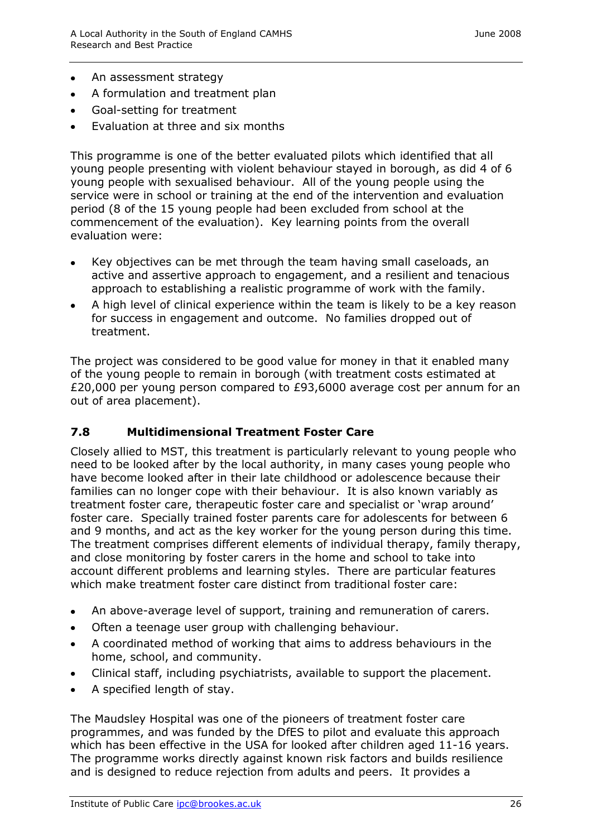- $\bullet$ An assessment strategy
- A formulation and treatment plan  $\bullet$
- Goal-setting for treatment  $\bullet$
- Evaluation at three and six months

This programme is one of the better evaluated pilots which identified that all young people presenting with violent behaviour stayed in borough, as did 4 of 6 young people with sexualised behaviour. All of the young people using the service were in school or training at the end of the intervention and evaluation period (8 of the 15 young people had been excluded from school at the commencement of the evaluation). Key learning points from the overall evaluation were:

- Key objectives can be met through the team having small caseloads, an active and assertive approach to engagement, and a resilient and tenacious approach to establishing a realistic programme of work with the family.
- A high level of clinical experience within the team is likely to be a key reason for success in engagement and outcome. No families dropped out of treatment.

The project was considered to be good value for money in that it enabled many of the young people to remain in borough (with treatment costs estimated at £20,000 per young person compared to £93,6000 average cost per annum for an out of area placement).

#### **7.8 Multidimensional Treatment Foster Care**

Closely allied to MST, this treatment is particularly relevant to young people who need to be looked after by the local authority, in many cases young people who have become looked after in their late childhood or adolescence because their families can no longer cope with their behaviour. It is also known variably as treatment foster care, therapeutic foster care and specialist or 'wrap around' foster care. Specially trained foster parents care for adolescents for between 6 and 9 months, and act as the key worker for the young person during this time. The treatment comprises different elements of individual therapy, family therapy, and close monitoring by foster carers in the home and school to take into account different problems and learning styles. There are particular features which make treatment foster care distinct from traditional foster care:

- An above-average level of support, training and remuneration of carers.  $\bullet$
- Often a teenage user group with challenging behaviour.  $\bullet$
- A coordinated method of working that aims to address behaviours in the  $\bullet$ home, school, and community.
- Clinical staff, including psychiatrists, available to support the placement.
- A specified length of stay.

The Maudsley Hospital was one of the pioneers of treatment foster care programmes, and was funded by the DfES to pilot and evaluate this approach which has been effective in the USA for looked after children aged 11-16 years. The programme works directly against known risk factors and builds resilience and is designed to reduce rejection from adults and peers. It provides a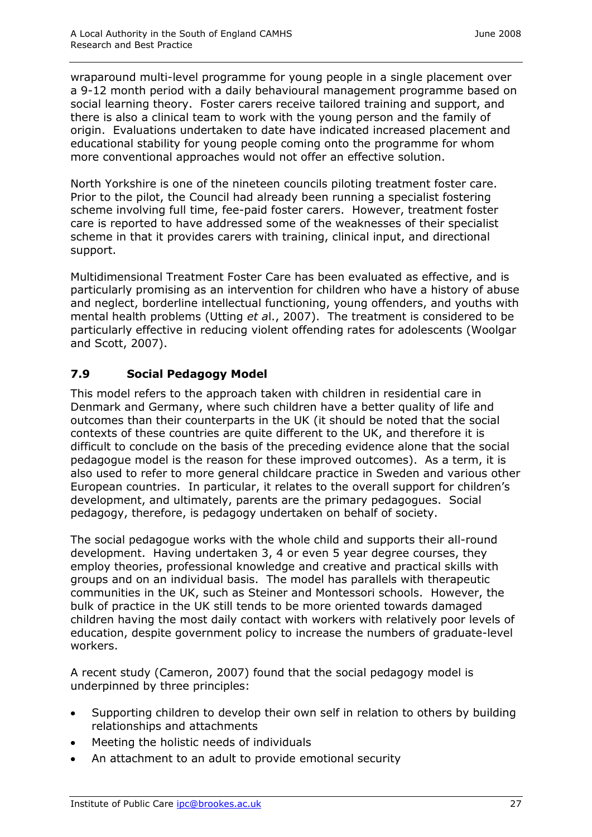wraparound multi-level programme for young people in a single placement over a 9-12 month period with a daily behavioural management programme based on social learning theory. Foster carers receive tailored training and support, and there is also a clinical team to work with the young person and the family of origin. Evaluations undertaken to date have indicated increased placement and educational stability for young people coming onto the programme for whom more conventional approaches would not offer an effective solution.

North Yorkshire is one of the nineteen councils piloting treatment foster care. Prior to the pilot, the Council had already been running a specialist fostering scheme involving full time, fee-paid foster carers. However, treatment foster care is reported to have addressed some of the weaknesses of their specialist scheme in that it provides carers with training, clinical input, and directional support.

Multidimensional Treatment Foster Care has been evaluated as effective, and is particularly promising as an intervention for children who have a history of abuse and neglect, borderline intellectual functioning, young offenders, and youths with mental health problems (Utting *et a*l., 2007). The treatment is considered to be particularly effective in reducing violent offending rates for adolescents (Woolgar and Scott, 2007).

## **7.9 Social Pedagogy Model**

This model refers to the approach taken with children in residential care in Denmark and Germany, where such children have a better quality of life and outcomes than their counterparts in the UK (it should be noted that the social contexts of these countries are quite different to the UK, and therefore it is difficult to conclude on the basis of the preceding evidence alone that the social pedagogue model is the reason for these improved outcomes). As a term, it is also used to refer to more general childcare practice in Sweden and various other European countries. In particular, it relates to the overall support for children's development, and ultimately, parents are the primary pedagogues. Social pedagogy, therefore, is pedagogy undertaken on behalf of society.

The social pedagogue works with the whole child and supports their all-round development. Having undertaken 3, 4 or even 5 year degree courses, they employ theories, professional knowledge and creative and practical skills with groups and on an individual basis. The model has parallels with therapeutic communities in the UK, such as Steiner and Montessori schools. However, the bulk of practice in the UK still tends to be more oriented towards damaged children having the most daily contact with workers with relatively poor levels of education, despite government policy to increase the numbers of graduate-level workers.

A recent study (Cameron, 2007) found that the social pedagogy model is underpinned by three principles:

- Supporting children to develop their own self in relation to others by building relationships and attachments
- Meeting the holistic needs of individuals
- An attachment to an adult to provide emotional security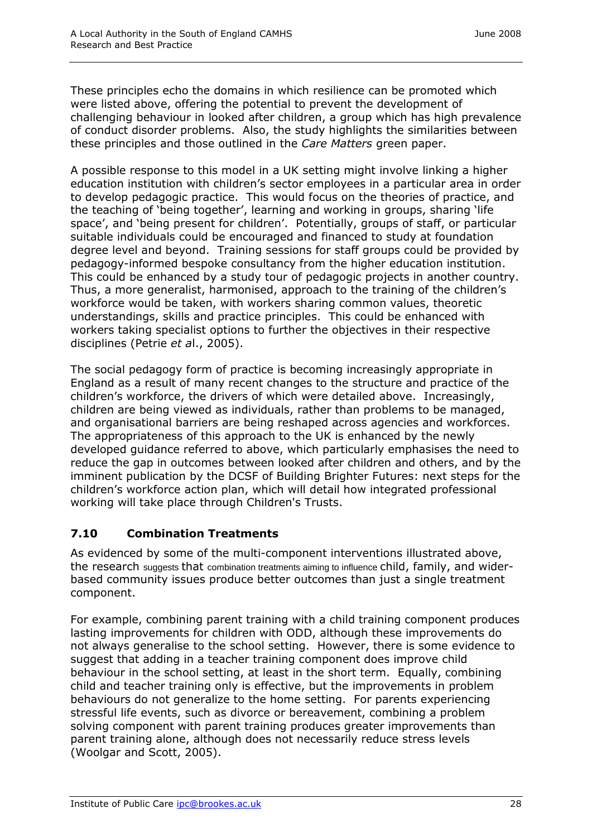These principles echo the domains in which resilience can be promoted which were listed above, offering the potential to prevent the development of challenging behaviour in looked after children, a group which has high prevalence of conduct disorder problems. Also, the study highlights the similarities between these principles and those outlined in the *Care Matters* green paper.

A possible response to this model in a UK setting might involve linking a higher education institution with children's sector employees in a particular area in order to develop pedagogic practice. This would focus on the theories of practice, and the teaching of 'being together', learning and working in groups, sharing 'life space', and 'being present for children'. Potentially, groups of staff, or particular suitable individuals could be encouraged and financed to study at foundation degree level and beyond. Training sessions for staff groups could be provided by pedagogy-informed bespoke consultancy from the higher education institution. This could be enhanced by a study tour of pedagogic projects in another country. Thus, a more generalist, harmonised, approach to the training of the children's workforce would be taken, with workers sharing common values, theoretic understandings, skills and practice principles. This could be enhanced with workers taking specialist options to further the objectives in their respective disciplines (Petrie *et a*l., 2005).

The social pedagogy form of practice is becoming increasingly appropriate in England as a result of many recent changes to the structure and practice of the children's workforce, the drivers of which were detailed above. Increasingly, children are being viewed as individuals, rather than problems to be managed, and organisational barriers are being reshaped across agencies and workforces. The appropriateness of this approach to the UK is enhanced by the newly developed guidance referred to above, which particularly emphasises the need to reduce the gap in outcomes between looked after children and others, and by the imminent publication by the DCSF of Building Brighter Futures: next steps for the children's workforce action plan, which will detail how integrated professional working will take place through Children's Trusts.

## **7.10 Combination Treatments**

As evidenced by some of the multi-component interventions illustrated above, the research suggests that combination treatments aiming to influence child, family, and widerbased community issues produce better outcomes than just a single treatment component.

For example, combining parent training with a child training component produces lasting improvements for children with ODD, although these improvements do not always generalise to the school setting. However, there is some evidence to suggest that adding in a teacher training component does improve child behaviour in the school setting, at least in the short term. Equally, combining child and teacher training only is effective, but the improvements in problem behaviours do not generalize to the home setting. For parents experiencing stressful life events, such as divorce or bereavement, combining a problem solving component with parent training produces greater improvements than parent training alone, although does not necessarily reduce stress levels (Woolgar and Scott, 2005).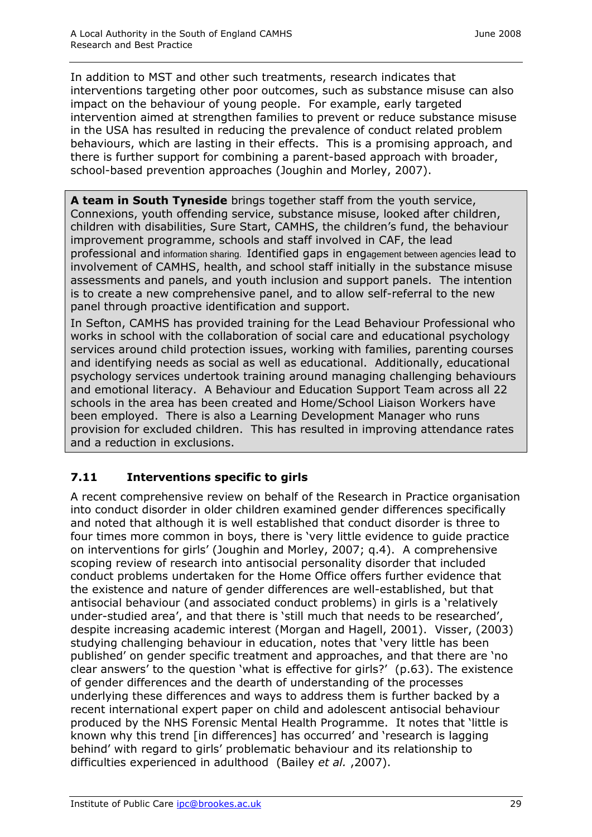In addition to MST and other such treatments, research indicates that interventions targeting other poor outcomes, such as substance misuse can also impact on the behaviour of young people. For example, early targeted intervention aimed at strengthen families to prevent or reduce substance misuse in the USA has resulted in reducing the prevalence of conduct related problem behaviours, which are lasting in their effects. This is a promising approach, and there is further support for combining a parent-based approach with broader, school-based prevention approaches (Joughin and Morley, 2007).

**A team in South Tyneside** brings together staff from the youth service, Connexions, youth offending service, substance misuse, looked after children, children with disabilities, Sure Start, CAMHS, the children's fund, the behaviour improvement programme, schools and staff involved in CAF, the lead professional and information sharing. Identified gaps in engagement between agencies lead to involvement of CAMHS, health, and school staff initially in the substance misuse assessments and panels, and youth inclusion and support panels. The intention is to create a new comprehensive panel, and to allow self-referral to the new panel through proactive identification and support.

In Sefton, CAMHS has provided training for the Lead Behaviour Professional who works in school with the collaboration of social care and educational psychology services around child protection issues, working with families, parenting courses and identifying needs as social as well as educational. Additionally, educational psychology services undertook training around managing challenging behaviours and emotional literacy. A Behaviour and Education Support Team across all 22 schools in the area has been created and Home/School Liaison Workers have been employed. There is also a Learning Development Manager who runs provision for excluded children. This has resulted in improving attendance rates and a reduction in exclusions.

# **7.11 Interventions specific to girls**

A recent comprehensive review on behalf of the Research in Practice organisation into conduct disorder in older children examined gender differences specifically and noted that although it is well established that conduct disorder is three to four times more common in boys, there is 'very little evidence to guide practice on interventions for girls' (Joughin and Morley, 2007; q.4). A comprehensive scoping review of research into antisocial personality disorder that included conduct problems undertaken for the Home Office offers further evidence that the existence and nature of gender differences are well-established, but that antisocial behaviour (and associated conduct problems) in girls is a 'relatively under-studied area', and that there is 'still much that needs to be researched', despite increasing academic interest (Morgan and Hagell, 2001). Visser, (2003) studying challenging behaviour in education, notes that 'very little has been published' on gender specific treatment and approaches, and that there are 'no clear answers' to the question 'what is effective for girls?' (p.63). The existence of gender differences and the dearth of understanding of the processes underlying these differences and ways to address them is further backed by a recent international expert paper on child and adolescent antisocial behaviour produced by the NHS Forensic Mental Health Programme. It notes that 'little is known why this trend [in differences] has occurred' and 'research is lagging behind' with regard to girls' problematic behaviour and its relationship to difficulties experienced in adulthood (Bailey *et al.* ,2007).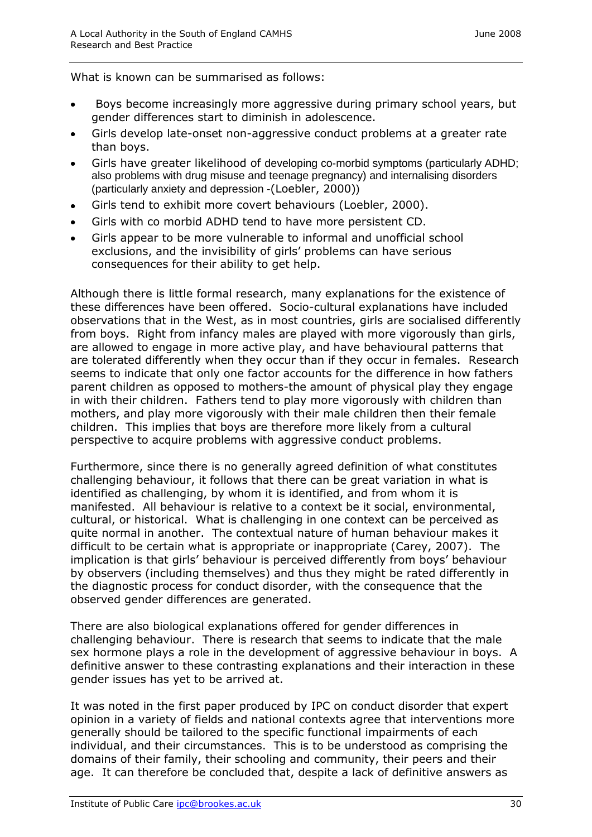What is known can be summarised as follows:

- Boys become increasingly more aggressive during primary school years, but gender differences start to diminish in adolescence.
- Girls develop late-onset non-aggressive conduct problems at a greater rate than boys.
- Girls have greater likelihood of developing co-morbid symptoms (particularly ADHD; also problems with drug misuse and teenage pregnancy) and internalising disorders (particularly anxiety and depression -(Loebler, 2000))
- Girls tend to exhibit more covert behaviours (Loebler, 2000).  $\bullet$
- Girls with co morbid ADHD tend to have more persistent CD.
- Girls appear to be more vulnerable to informal and unofficial school exclusions, and the invisibility of girls' problems can have serious consequences for their ability to get help.

Although there is little formal research, many explanations for the existence of these differences have been offered. Socio-cultural explanations have included observations that in the West, as in most countries, girls are socialised differently from boys. Right from infancy males are played with more vigorously than girls, are allowed to engage in more active play, and have behavioural patterns that are tolerated differently when they occur than if they occur in females. Research seems to indicate that only one factor accounts for the difference in how fathers parent children as opposed to mothers-the amount of physical play they engage in with their children. Fathers tend to play more vigorously with children than mothers, and play more vigorously with their male children then their female children. This implies that boys are therefore more likely from a cultural perspective to acquire problems with aggressive conduct problems.

Furthermore, since there is no generally agreed definition of what constitutes challenging behaviour, it follows that there can be great variation in what is identified as challenging, by whom it is identified, and from whom it is manifested. All behaviour is relative to a context be it social, environmental, cultural, or historical. What is challenging in one context can be perceived as quite normal in another. The contextual nature of human behaviour makes it difficult to be certain what is appropriate or inappropriate (Carey, 2007). The implication is that girls' behaviour is perceived differently from boys' behaviour by observers (including themselves) and thus they might be rated differently in the diagnostic process for conduct disorder, with the consequence that the observed gender differences are generated.

There are also biological explanations offered for gender differences in challenging behaviour. There is research that seems to indicate that the male sex hormone plays a role in the development of aggressive behaviour in boys. A definitive answer to these contrasting explanations and their interaction in these gender issues has yet to be arrived at.

It was noted in the first paper produced by IPC on conduct disorder that expert opinion in a variety of fields and national contexts agree that interventions more generally should be tailored to the specific functional impairments of each individual, and their circumstances. This is to be understood as comprising the domains of their family, their schooling and community, their peers and their age. It can therefore be concluded that, despite a lack of definitive answers as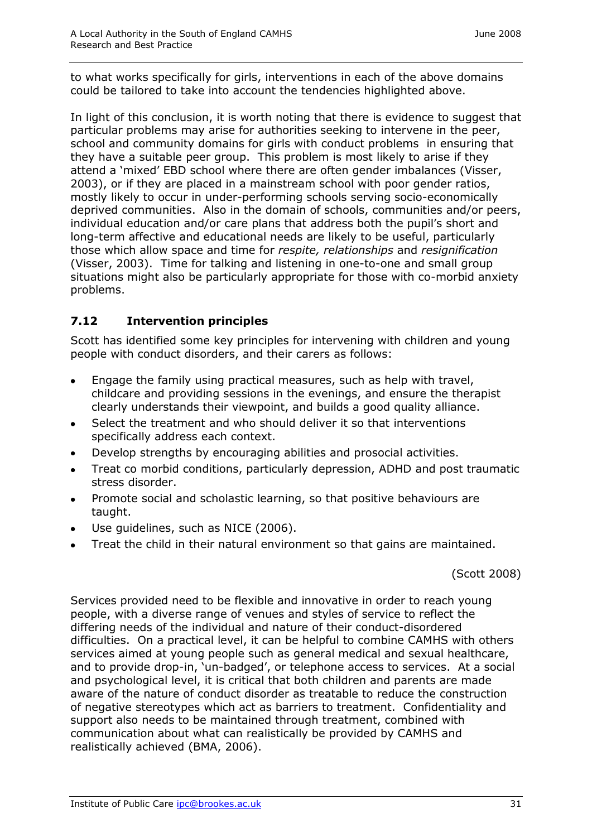to what works specifically for girls, interventions in each of the above domains could be tailored to take into account the tendencies highlighted above.

In light of this conclusion, it is worth noting that there is evidence to suggest that particular problems may arise for authorities seeking to intervene in the peer, school and community domains for girls with conduct problems in ensuring that they have a suitable peer group. This problem is most likely to arise if they attend a 'mixed' EBD school where there are often gender imbalances (Visser, 2003), or if they are placed in a mainstream school with poor gender ratios, mostly likely to occur in under-performing schools serving socio-economically deprived communities. Also in the domain of schools, communities and/or peers, individual education and/or care plans that address both the pupil's short and long-term affective and educational needs are likely to be useful, particularly those which allow space and time for *respite, relationships* and *resignification* (Visser, 2003). Time for talking and listening in one-to-one and small group situations might also be particularly appropriate for those with co-morbid anxiety problems.

#### **7.12 Intervention principles**

Scott has identified some key principles for intervening with children and young people with conduct disorders, and their carers as follows:

- Engage the family using practical measures, such as help with travel, childcare and providing sessions in the evenings, and ensure the therapist clearly understands their viewpoint, and builds a good quality alliance.
- Select the treatment and who should deliver it so that interventions  $\bullet$ specifically address each context.
- Develop strengths by encouraging abilities and prosocial activities.  $\bullet$
- Treat co morbid conditions, particularly depression, ADHD and post traumatic  $\bullet$ stress disorder.
- Promote social and scholastic learning, so that positive behaviours are taught.
- Use guidelines, such as NICE (2006).
- Treat the child in their natural environment so that gains are maintained.

(Scott 2008)

Services provided need to be flexible and innovative in order to reach young people, with a diverse range of venues and styles of service to reflect the differing needs of the individual and nature of their conduct-disordered difficulties. On a practical level, it can be helpful to combine CAMHS with others services aimed at young people such as general medical and sexual healthcare, and to provide drop-in, 'un-badged', or telephone access to services. At a social and psychological level, it is critical that both children and parents are made aware of the nature of conduct disorder as treatable to reduce the construction of negative stereotypes which act as barriers to treatment. Confidentiality and support also needs to be maintained through treatment, combined with communication about what can realistically be provided by CAMHS and realistically achieved (BMA, 2006).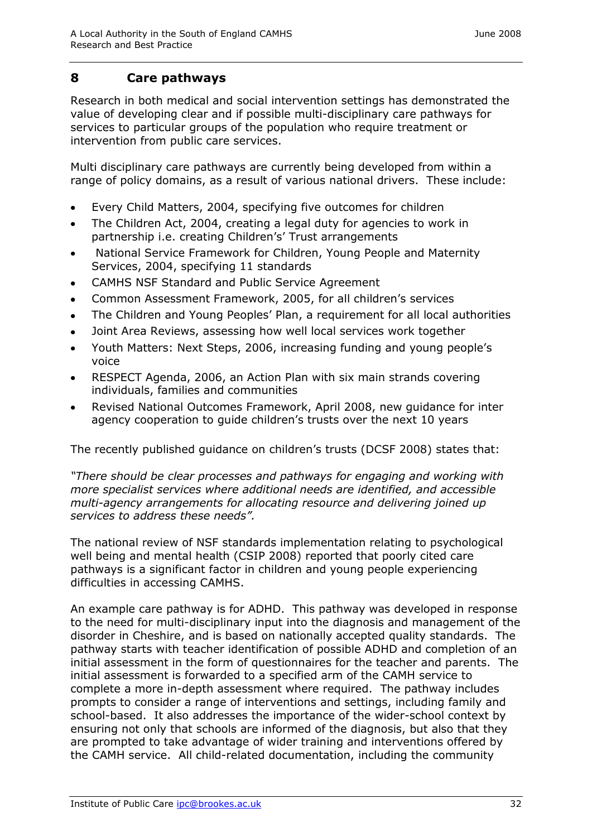#### **8 Care pathways**

Research in both medical and social intervention settings has demonstrated the value of developing clear and if possible multi-disciplinary care pathways for services to particular groups of the population who require treatment or intervention from public care services.

Multi disciplinary care pathways are currently being developed from within a range of policy domains, as a result of various national drivers. These include:

- Every Child Matters, 2004, specifying five outcomes for children  $\bullet$
- The Children Act, 2004, creating a legal duty for agencies to work in  $\bullet$ partnership i.e. creating Children's' Trust arrangements
- National Service Framework for Children, Young People and Maternity Services, 2004, specifying 11 standards
- CAMHS NSF Standard and Public Service Agreement
- Common Assessment Framework, 2005, for all children's services  $\bullet$
- The Children and Young Peoples' Plan, a requirement for all local authorities  $\bullet$
- Joint Area Reviews, assessing how well local services work together  $\bullet$
- Youth Matters: Next Steps, 2006, increasing funding and young people's  $\bullet$ voice
- RESPECT Agenda, 2006, an Action Plan with six main strands covering  $\bullet$ individuals, families and communities
- Revised National Outcomes Framework, April 2008, new guidance for inter agency cooperation to guide children's trusts over the next 10 years

The recently published guidance on children's trusts (DCSF 2008) states that:

*"There should be clear processes and pathways for engaging and working with more specialist services where additional needs are identified, and accessible multi-agency arrangements for allocating resource and delivering joined up services to address these needs".*

The national review of NSF standards implementation relating to psychological well being and mental health (CSIP 2008) reported that poorly cited care pathways is a significant factor in children and young people experiencing difficulties in accessing CAMHS.

An example care pathway is for ADHD. This pathway was developed in response to the need for multi-disciplinary input into the diagnosis and management of the disorder in Cheshire, and is based on nationally accepted quality standards. The pathway starts with teacher identification of possible ADHD and completion of an initial assessment in the form of questionnaires for the teacher and parents. The initial assessment is forwarded to a specified arm of the CAMH service to complete a more in-depth assessment where required. The pathway includes prompts to consider a range of interventions and settings, including family and school-based. It also addresses the importance of the wider-school context by ensuring not only that schools are informed of the diagnosis, but also that they are prompted to take advantage of wider training and interventions offered by the CAMH service. All child-related documentation, including the community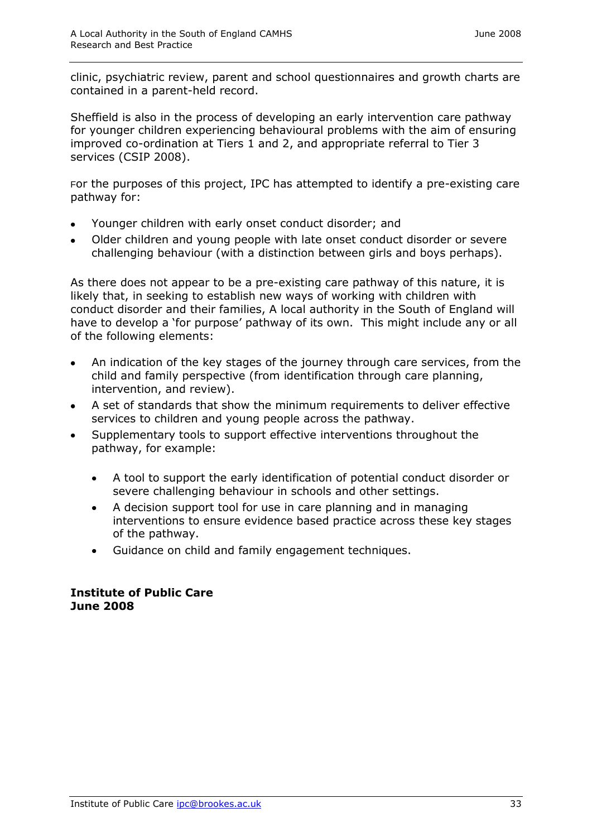clinic, psychiatric review, parent and school questionnaires and growth charts are contained in a parent-held record.

Sheffield is also in the process of developing an early intervention care pathway for younger children experiencing behavioural problems with the aim of ensuring improved co-ordination at Tiers 1 and 2, and appropriate referral to Tier 3 services (CSIP 2008).

For the purposes of this project, IPC has attempted to identify a pre-existing care pathway for:

- Younger children with early onset conduct disorder; and
- Older children and young people with late onset conduct disorder or severe challenging behaviour (with a distinction between girls and boys perhaps).

As there does not appear to be a pre-existing care pathway of this nature, it is likely that, in seeking to establish new ways of working with children with conduct disorder and their families, A local authority in the South of England will have to develop a 'for purpose' pathway of its own. This might include any or all of the following elements:

- An indication of the key stages of the journey through care services, from the child and family perspective (from identification through care planning, intervention, and review).
- A set of standards that show the minimum requirements to deliver effective services to children and young people across the pathway.
- Supplementary tools to support effective interventions throughout the pathway, for example:
	- A tool to support the early identification of potential conduct disorder or  $\bullet$ severe challenging behaviour in schools and other settings.
	- A decision support tool for use in care planning and in managing interventions to ensure evidence based practice across these key stages of the pathway.
	- Guidance on child and family engagement techniques.

#### **Institute of Public Care June 2008**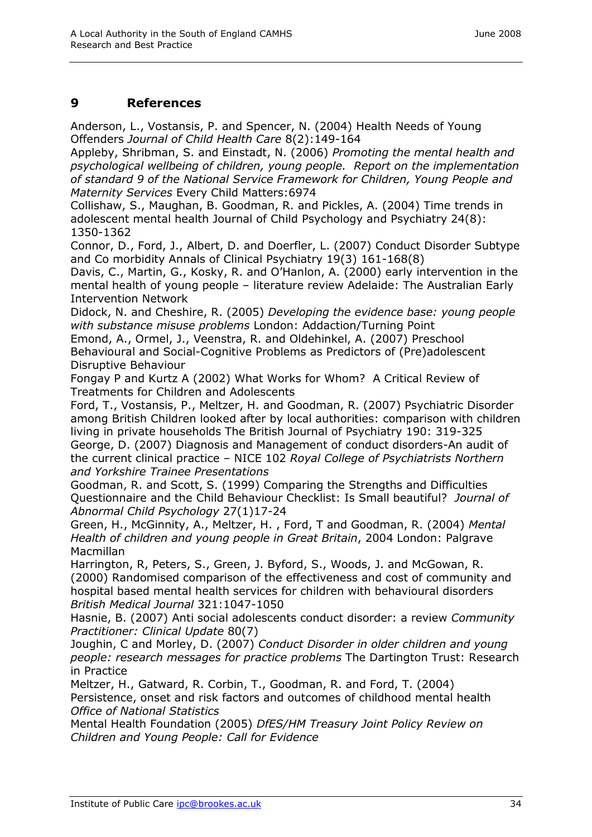## **9 References**

Anderson, L., Vostansis, P. and Spencer, N. (2004) Health Needs of Young Offenders *Journal of Child Health Care* 8(2):149-164

Appleby, Shribman, S. and Einstadt, N. (2006) *Promoting the mental health and psychological wellbeing of children, young people. Report on the implementation of standard 9 of the National Service Framework for Children, Young People and Maternity Services* Every Child Matters:6974

Collishaw, S., Maughan, B. Goodman, R. and Pickles, A. (2004) Time trends in adolescent mental health Journal of Child Psychology and Psychiatry 24(8): 1350-1362

Connor, D., Ford, J., Albert, D. and Doerfler, L. (2007) Conduct Disorder Subtype and Co morbidity Annals of Clinical Psychiatry 19(3) 161-168(8)

Davis, C., Martin, G., Kosky, R. and O'Hanlon, A. (2000) early intervention in the mental health of young people – literature review Adelaide: The Australian Early Intervention Network

Didock, N. and Cheshire, R. (2005) *Developing the evidence base: young people with substance misuse problems* London: Addaction/Turning Point

Emond, A., Ormel, J., Veenstra, R. and Oldehinkel, A. (2007) Preschool Behavioural and Social-Cognitive Problems as Predictors of (Pre)adolescent Disruptive Behaviour

Fongay P and Kurtz A (2002) What Works for Whom? A Critical Review of Treatments for Children and Adolescents

Ford, T., Vostansis, P., Meltzer, H. and Goodman, R. (2007) Psychiatric Disorder among British Children looked after by local authorities: comparison with children living in private households The British Journal of Psychiatry 190: 319-325 George, D. (2007) Diagnosis and Management of conduct disorders-An audit of the current clinical practice – NICE 102 *Royal College of Psychiatrists Northern and Yorkshire Trainee Presentations*

Goodman, R. and Scott, S. (1999) Comparing the Strengths and Difficulties Questionnaire and the Child Behaviour Checklist: Is Small beautiful? *Journal of Abnormal Child Psychology* 27(1)17-24

Green, H., McGinnity, A., Meltzer, H. , Ford, T and Goodman, R. (2004) *Mental Health of children and young people in Great Britain*, 2004 London: Palgrave Macmillan

Harrington, R, Peters, S., Green, J. Byford, S., Woods, J. and McGowan, R. (2000) Randomised comparison of the effectiveness and cost of community and hospital based mental health services for children with behavioural disorders *British Medical Journal* 321:1047-1050

Hasnie, B. (2007) Anti social adolescents conduct disorder: a review *Community Practitioner: Clinical Update* 80(7)

Joughin, C and Morley, D. (2007) *Conduct Disorder in older children and young people: research messages for practice problems* The Dartington Trust: Research in Practice

Meltzer, H., Gatward, R. Corbin, T., Goodman, R. and Ford, T. (2004) Persistence, onset and risk factors and outcomes of childhood mental health *Office of National Statistics*

Mental Health Foundation (2005) *DfES/HM Treasury Joint Policy Review on Children and Young People: Call for Evidence*